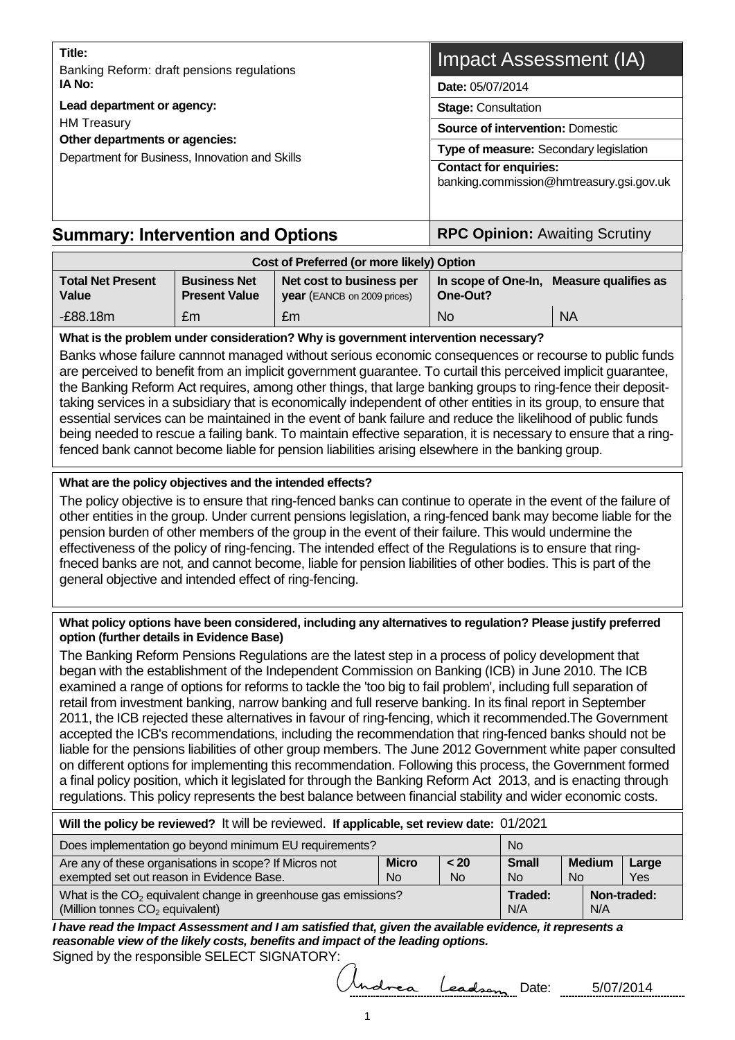| Title:<br>Banking Reform: draft pensions regulations                                                   | Impact Assessment (IA)                                                            |  |  |
|--------------------------------------------------------------------------------------------------------|-----------------------------------------------------------------------------------|--|--|
| IA No:<br>Lead department or agency:                                                                   | Date: 05/07/2014                                                                  |  |  |
|                                                                                                        | <b>Stage: Consultation</b>                                                        |  |  |
| <b>HM</b> Treasury<br>Other departments or agencies:<br>Department for Business, Innovation and Skills | <b>Source of intervention: Domestic</b><br>Type of measure: Secondary legislation |  |  |
|                                                                                                        |                                                                                   |  |  |
| <b>Summary: Intervention and Options</b>                                                               | <b>RPC Opinion: Awaiting Scrutiny</b>                                             |  |  |

| Cost of Preferred (or more likely) Option |                                             |                                                                |          |                                          |  |  |  |
|-------------------------------------------|---------------------------------------------|----------------------------------------------------------------|----------|------------------------------------------|--|--|--|
| <b>Total Net Present</b><br>Value         | <b>Business Net</b><br><b>Present Value</b> | Net cost to business per<br><b>year</b> (EANCB on 2009 prices) | One-Out? | In scope of One-In, Measure qualifies as |  |  |  |
| $-E88.18m$                                | £m                                          | £m                                                             | No.      | <b>NA</b>                                |  |  |  |

#### **What is the problem under consideration? Why is government intervention necessary?**

Banks whose failure cannnot managed without serious economic consequences or recourse to public funds are perceived to benefit from an implicit government guarantee. To curtail this perceived implicit guarantee, the Banking Reform Act requires, among other things, that large banking groups to ring-fence their deposittaking services in a subsidiary that is economically independent of other entities in its group, to ensure that essential services can be maintained in the event of bank failure and reduce the likelihood of public funds being needed to rescue a failing bank. To maintain effective separation, it is necessary to ensure that a ringfenced bank cannot become liable for pension liabilities arising elsewhere in the banking group.

#### **What are the policy objectives and the intended effects?**

The policy objective is to ensure that ring-fenced banks can continue to operate in the event of the failure of other entities in the group. Under current pensions legislation, a ring-fenced bank may become liable for the pension burden of other members of the group in the event of their failure. This would undermine the effectiveness of the policy of ring-fencing. The intended effect of the Regulations is to ensure that ringfneced banks are not, and cannot become, liable for pension liabilities of other bodies. This is part of the general objective and intended effect of ring-fencing.

#### **What policy options have been considered, including any alternatives to regulation? Please justify preferred option (further details in Evidence Base)**

The Banking Reform Pensions Regulations are the latest step in a process of policy development that began with the establishment of the Independent Commission on Banking (ICB) in June 2010. The ICB examined a range of options for reforms to tackle the 'too big to fail problem', including full separation of retail from investment banking, narrow banking and full reserve banking. In its final report in September 2011, the ICB rejected these alternatives in favour of ring-fencing, which it recommended.The Government accepted the ICB's recommendations, including the recommendation that ring-fenced banks should not be liable for the pensions liabilities of other group members. The June 2012 Government white paper consulted on different options for implementing this recommendation. Following this process, the Government formed a final policy position, which it legislated for through the Banking Reform Act 2013, and is enacting through regulations. This policy represents the best balance between financial stability and wider economic costs.

#### **Will the policy be reviewed?** It will be reviewed. **If applicable, set review date:** 01/2021

| Does implementation go beyond minimum EU requirements?                                                          | <b>No</b>      |                |                |               |       |
|-----------------------------------------------------------------------------------------------------------------|----------------|----------------|----------------|---------------|-------|
| Are any of these organisations in scope? If Micros not                                                          | <b>Micro</b>   | < 20           | <b>Small</b>   | <b>Medium</b> | Large |
| exempted set out reason in Evidence Base.                                                                       | <b>No</b>      | N <sub>o</sub> | N <sub>o</sub> | No            | Yes   |
| What is the $CO2$ equivalent change in greenhouse gas emissions?<br>(Million tonnes CO <sub>2</sub> equivalent) | Traded:<br>N/A | N/A            | Non-traded:    |               |       |

*I have read the Impact Assessment and I am satisfied that, given the available evidence, it represents a reasonable view of the likely costs, benefits and impact of the leading options.* Signed by the responsible SELECT SIGNATORY:

drea Leadson Date: 5/07/2014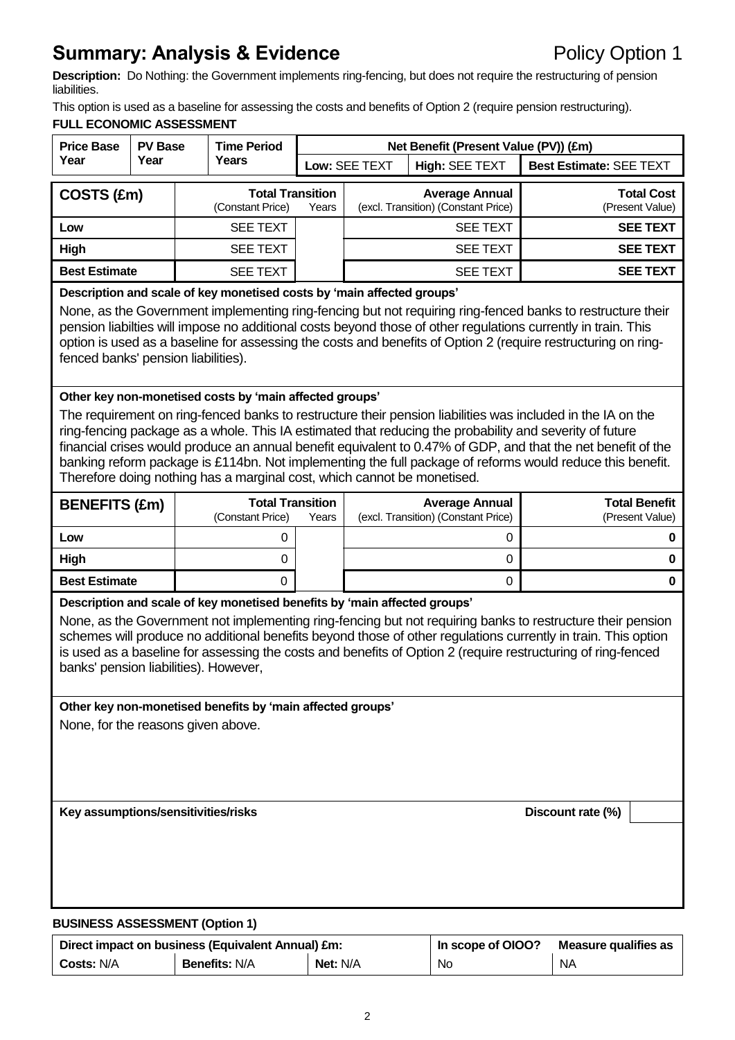# **Summary: Analysis & Evidence Policy Option 1**

**Description:** Do Nothing: the Government implements ring-fencing, but does not require the restructuring of pension liabilities.

This option is used as a baseline for assessing the costs and benefits of Option 2 (require pension restructuring). **FULL ECONOMIC ASSESSMENT**

| <b>Price Base</b><br><b>PV Base</b><br>Year<br>Year                                                                                                                                                                                                                                                                                                                                                                                                           |                                                                                                                                                                                                                                                                                                                                                                                                                                                                                                                                                                                           |  | <b>Time Period</b>                          |       | Net Benefit (Present Value (PV)) (£m)                        |                       |                                |                                         |  |
|---------------------------------------------------------------------------------------------------------------------------------------------------------------------------------------------------------------------------------------------------------------------------------------------------------------------------------------------------------------------------------------------------------------------------------------------------------------|-------------------------------------------------------------------------------------------------------------------------------------------------------------------------------------------------------------------------------------------------------------------------------------------------------------------------------------------------------------------------------------------------------------------------------------------------------------------------------------------------------------------------------------------------------------------------------------------|--|---------------------------------------------|-------|--------------------------------------------------------------|-----------------------|--------------------------------|-----------------------------------------|--|
|                                                                                                                                                                                                                                                                                                                                                                                                                                                               |                                                                                                                                                                                                                                                                                                                                                                                                                                                                                                                                                                                           |  | Years                                       |       | Low: SEE TEXT                                                | High: SEE TEXT        | <b>Best Estimate: SEE TEXT</b> |                                         |  |
| COSTS (£m)                                                                                                                                                                                                                                                                                                                                                                                                                                                    |                                                                                                                                                                                                                                                                                                                                                                                                                                                                                                                                                                                           |  | <b>Total Transition</b>                     |       |                                                              | <b>Average Annual</b> |                                | <b>Total Cost</b>                       |  |
|                                                                                                                                                                                                                                                                                                                                                                                                                                                               |                                                                                                                                                                                                                                                                                                                                                                                                                                                                                                                                                                                           |  | (Constant Price)                            | Years | (excl. Transition) (Constant Price)                          |                       |                                | (Present Value)                         |  |
| Low                                                                                                                                                                                                                                                                                                                                                                                                                                                           |                                                                                                                                                                                                                                                                                                                                                                                                                                                                                                                                                                                           |  | <b>SEE TEXT</b>                             |       |                                                              | <b>SEE TEXT</b>       |                                | <b>SEE TEXT</b>                         |  |
| High                                                                                                                                                                                                                                                                                                                                                                                                                                                          |                                                                                                                                                                                                                                                                                                                                                                                                                                                                                                                                                                                           |  | <b>SEE TEXT</b>                             |       | <b>SEE TEXT</b>                                              |                       |                                | <b>SEE TEXT</b>                         |  |
| <b>Best Estimate</b>                                                                                                                                                                                                                                                                                                                                                                                                                                          |                                                                                                                                                                                                                                                                                                                                                                                                                                                                                                                                                                                           |  | <b>SEE TEXT</b>                             |       |                                                              | <b>SEE TEXT</b>       |                                | <b>SEE TEXT</b>                         |  |
| Description and scale of key monetised costs by 'main affected groups'<br>None, as the Government implementing ring-fencing but not requiring ring-fenced banks to restructure their<br>pension liabilties will impose no additional costs beyond those of other regulations currently in train. This<br>option is used as a baseline for assessing the costs and benefits of Option 2 (require restructuring on ring-<br>fenced banks' pension liabilities). |                                                                                                                                                                                                                                                                                                                                                                                                                                                                                                                                                                                           |  |                                             |       |                                                              |                       |                                |                                         |  |
|                                                                                                                                                                                                                                                                                                                                                                                                                                                               | Other key non-monetised costs by 'main affected groups'<br>The requirement on ring-fenced banks to restructure their pension liabilities was included in the IA on the<br>ring-fencing package as a whole. This IA estimated that reducing the probability and severity of future<br>financial crises would produce an annual benefit equivalent to 0.47% of GDP, and that the net benefit of the<br>banking reform package is £114bn. Not implementing the full package of reforms would reduce this benefit.<br>Therefore doing nothing has a marginal cost, which cannot be monetised. |  |                                             |       |                                                              |                       |                                |                                         |  |
| <b>BENEFITS (£m)</b>                                                                                                                                                                                                                                                                                                                                                                                                                                          |                                                                                                                                                                                                                                                                                                                                                                                                                                                                                                                                                                                           |  | <b>Total Transition</b><br>(Constant Price) | Years | <b>Average Annual</b><br>(excl. Transition) (Constant Price) |                       |                                | <b>Total Benefit</b><br>(Present Value) |  |
| Low                                                                                                                                                                                                                                                                                                                                                                                                                                                           |                                                                                                                                                                                                                                                                                                                                                                                                                                                                                                                                                                                           |  | 0                                           |       |                                                              | 0                     |                                | 0                                       |  |
| High                                                                                                                                                                                                                                                                                                                                                                                                                                                          |                                                                                                                                                                                                                                                                                                                                                                                                                                                                                                                                                                                           |  | 0                                           |       |                                                              | 0                     |                                | 0                                       |  |
| <b>Best Estimate</b>                                                                                                                                                                                                                                                                                                                                                                                                                                          |                                                                                                                                                                                                                                                                                                                                                                                                                                                                                                                                                                                           |  | $\Omega$                                    |       |                                                              | 0                     |                                | 0                                       |  |
|                                                                                                                                                                                                                                                                                                                                                                                                                                                               | Description and scale of key monetised benefits by 'main affected groups'<br>None, as the Government not implementing ring-fencing but not requiring banks to restructure their pension<br>schemes will produce no additional benefits beyond those of other regulations currently in train. This option<br>is used as a baseline for assessing the costs and benefits of Option 2 (require restructuring of ring-fenced<br>banks' pension liabilities). However,                                                                                                                         |  |                                             |       |                                                              |                       |                                |                                         |  |
| Other key non-monetised benefits by 'main affected groups'<br>None, for the reasons given above.<br>Key assumptions/sensitivities/risks<br>Discount rate (%)                                                                                                                                                                                                                                                                                                  |                                                                                                                                                                                                                                                                                                                                                                                                                                                                                                                                                                                           |  |                                             |       |                                                              |                       |                                |                                         |  |
|                                                                                                                                                                                                                                                                                                                                                                                                                                                               | <b>BUSINESS ASSESSMENT (Option 1)</b>                                                                                                                                                                                                                                                                                                                                                                                                                                                                                                                                                     |  |                                             |       |                                                              |                       |                                |                                         |  |

# Direct impact on business (Equivalent Annual) £m: **In scope of OIOO?** Measure qualifies as **Costs:** N/A **Benefits:** N/A **Net:** N/A No NA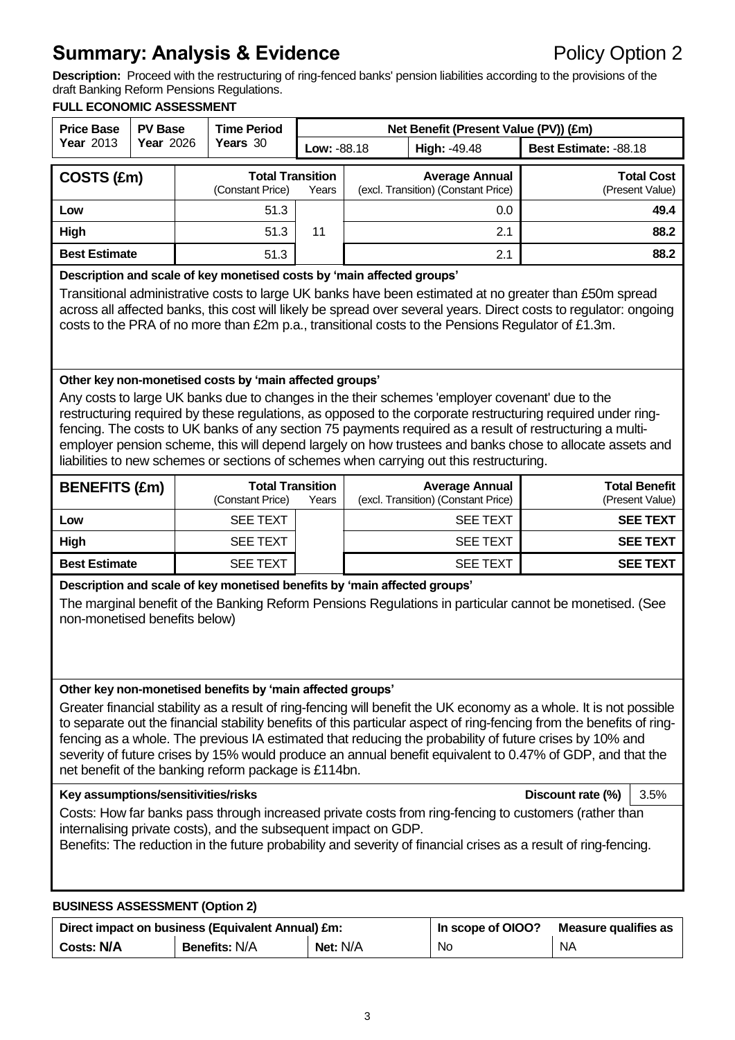# **Summary: Analysis & Evidence Policy Option 2**

**Description:** Proceed with the restructuring of ring-fenced banks' pension liabilities according to the provisions of the draft Banking Reform Pensions Regulations.

#### **FULL ECONOMIC ASSESSMENT**

| <b>Price Base</b>                                                                                                                                                                                                                                                                                                                                                                                                                                                                                                                                                                                                                                                                                                                                                                                                                                                                                                                                            | <b>PV Base</b>   |  | <b>Time Period</b>                          |             |              | Net Benefit (Present Value (PV)) (£m)                        |                                         |
|--------------------------------------------------------------------------------------------------------------------------------------------------------------------------------------------------------------------------------------------------------------------------------------------------------------------------------------------------------------------------------------------------------------------------------------------------------------------------------------------------------------------------------------------------------------------------------------------------------------------------------------------------------------------------------------------------------------------------------------------------------------------------------------------------------------------------------------------------------------------------------------------------------------------------------------------------------------|------------------|--|---------------------------------------------|-------------|--------------|--------------------------------------------------------------|-----------------------------------------|
| <b>Year 2013</b>                                                                                                                                                                                                                                                                                                                                                                                                                                                                                                                                                                                                                                                                                                                                                                                                                                                                                                                                             | <b>Year 2026</b> |  | Years 30                                    | Low: -88.18 | High: -49.48 |                                                              | Best Estimate: -88.18                   |
| COSTS (£m)                                                                                                                                                                                                                                                                                                                                                                                                                                                                                                                                                                                                                                                                                                                                                                                                                                                                                                                                                   |                  |  | <b>Total Transition</b><br>(Constant Price) | Years       |              | <b>Average Annual</b><br>(excl. Transition) (Constant Price) | <b>Total Cost</b><br>(Present Value)    |
| Low                                                                                                                                                                                                                                                                                                                                                                                                                                                                                                                                                                                                                                                                                                                                                                                                                                                                                                                                                          |                  |  | 51.3                                        |             |              | 0.0                                                          | 49.4                                    |
| <b>High</b>                                                                                                                                                                                                                                                                                                                                                                                                                                                                                                                                                                                                                                                                                                                                                                                                                                                                                                                                                  |                  |  | 51.3                                        | 11          |              | 2.1                                                          | 88.2                                    |
| <b>Best Estimate</b>                                                                                                                                                                                                                                                                                                                                                                                                                                                                                                                                                                                                                                                                                                                                                                                                                                                                                                                                         |                  |  | 51.3                                        |             |              | 2.1                                                          | 88.2                                    |
| Description and scale of key monetised costs by 'main affected groups'<br>Transitional administrative costs to large UK banks have been estimated at no greater than £50m spread<br>across all affected banks, this cost will likely be spread over several years. Direct costs to regulator: ongoing<br>costs to the PRA of no more than £2m p.a., transitional costs to the Pensions Regulator of £1.3m.                                                                                                                                                                                                                                                                                                                                                                                                                                                                                                                                                   |                  |  |                                             |             |              |                                                              |                                         |
| Other key non-monetised costs by 'main affected groups'<br>Any costs to large UK banks due to changes in the their schemes 'employer covenant' due to the<br>restructuring required by these regulations, as opposed to the corporate restructuring required under ring-<br>fencing. The costs to UK banks of any section 75 payments required as a result of restructuring a multi-<br>employer pension scheme, this will depend largely on how trustees and banks chose to allocate assets and<br>liabilities to new schemes or sections of schemes when carrying out this restructuring.                                                                                                                                                                                                                                                                                                                                                                  |                  |  |                                             |             |              |                                                              |                                         |
| <b>BENEFITS (£m)</b>                                                                                                                                                                                                                                                                                                                                                                                                                                                                                                                                                                                                                                                                                                                                                                                                                                                                                                                                         |                  |  | <b>Total Transition</b><br>(Constant Price) | Years       |              | <b>Average Annual</b><br>(excl. Transition) (Constant Price) | <b>Total Benefit</b><br>(Present Value) |
| Low                                                                                                                                                                                                                                                                                                                                                                                                                                                                                                                                                                                                                                                                                                                                                                                                                                                                                                                                                          |                  |  | <b>SEE TEXT</b>                             |             |              | <b>SEE TEXT</b>                                              | <b>SEE TEXT</b>                         |
| High                                                                                                                                                                                                                                                                                                                                                                                                                                                                                                                                                                                                                                                                                                                                                                                                                                                                                                                                                         |                  |  | <b>SEE TEXT</b>                             |             |              | <b>SEE TEXT</b>                                              | <b>SEE TEXT</b>                         |
| <b>Best Estimate</b>                                                                                                                                                                                                                                                                                                                                                                                                                                                                                                                                                                                                                                                                                                                                                                                                                                                                                                                                         |                  |  | <b>SEE TEXT</b>                             |             |              | <b>SEE TEXT</b>                                              | <b>SEE TEXT</b>                         |
| Description and scale of key monetised benefits by 'main affected groups'<br>The marginal benefit of the Banking Reform Pensions Regulations in particular cannot be monetised. (See<br>non-monetised benefits below)                                                                                                                                                                                                                                                                                                                                                                                                                                                                                                                                                                                                                                                                                                                                        |                  |  |                                             |             |              |                                                              |                                         |
| Other key non-monetised benefits by 'main affected groups'<br>Greater financial stability as a result of ring-fencing will benefit the UK economy as a whole. It is not possible<br>to separate out the financial stability benefits of this particular aspect of ring-fencing from the benefits of ring-<br>fencing as a whole. The previous IA estimated that reducing the probability of future crises by 10% and<br>severity of future crises by 15% would produce an annual benefit equivalent to 0.47% of GDP, and that the<br>net benefit of the banking reform package is £114bn.<br>Key assumptions/sensitivities/risks<br>Discount rate (%)<br>3.5%<br>Costs: How far banks pass through increased private costs from ring-fencing to customers (rather than<br>internalising private costs), and the subsequent impact on GDP.<br>Benefits: The reduction in the future probability and severity of financial crises as a result of ring-fencing. |                  |  |                                             |             |              |                                                              |                                         |

#### **BUSINESS ASSESSMENT (Option 2)**

|                   | Direct impact on business (Equivalent Annual) £m: | In scope of OIOO? | Measure qualifies as |           |
|-------------------|---------------------------------------------------|-------------------|----------------------|-----------|
| <b>Costs: N/A</b> | <b>Benefits: N/A</b>                              | Net: N/A          | No.                  | <b>NA</b> |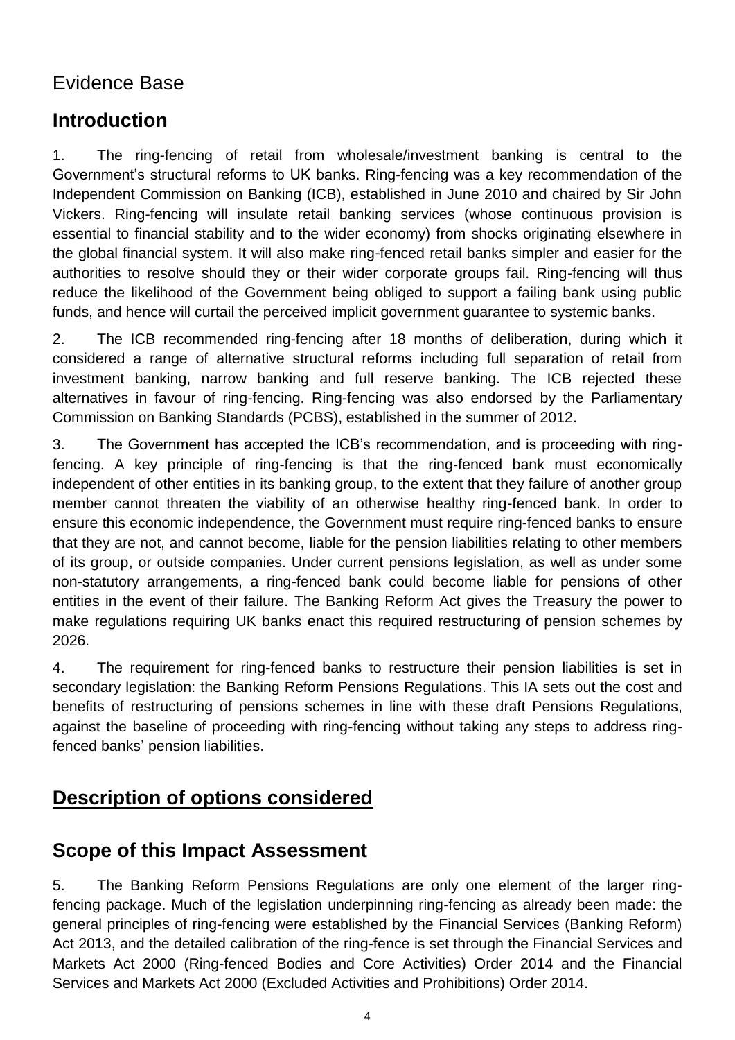# Evidence Base

# **Introduction**

1. The ring-fencing of retail from wholesale/investment banking is central to the Government's structural reforms to UK banks. Ring-fencing was a key recommendation of the Independent Commission on Banking (ICB), established in June 2010 and chaired by Sir John Vickers. Ring-fencing will insulate retail banking services (whose continuous provision is essential to financial stability and to the wider economy) from shocks originating elsewhere in the global financial system. It will also make ring-fenced retail banks simpler and easier for the authorities to resolve should they or their wider corporate groups fail. Ring-fencing will thus reduce the likelihood of the Government being obliged to support a failing bank using public funds, and hence will curtail the perceived implicit government guarantee to systemic banks.

2. The ICB recommended ring-fencing after 18 months of deliberation, during which it considered a range of alternative structural reforms including full separation of retail from investment banking, narrow banking and full reserve banking. The ICB rejected these alternatives in favour of ring-fencing. Ring-fencing was also endorsed by the Parliamentary Commission on Banking Standards (PCBS), established in the summer of 2012.

3. The Government has accepted the ICB's recommendation, and is proceeding with ringfencing. A key principle of ring-fencing is that the ring-fenced bank must economically independent of other entities in its banking group, to the extent that they failure of another group member cannot threaten the viability of an otherwise healthy ring-fenced bank. In order to ensure this economic independence, the Government must require ring-fenced banks to ensure that they are not, and cannot become, liable for the pension liabilities relating to other members of its group, or outside companies. Under current pensions legislation, as well as under some non-statutory arrangements, a ring-fenced bank could become liable for pensions of other entities in the event of their failure. The Banking Reform Act gives the Treasury the power to make regulations requiring UK banks enact this required restructuring of pension schemes by 2026.

4. The requirement for ring-fenced banks to restructure their pension liabilities is set in secondary legislation: the Banking Reform Pensions Regulations. This IA sets out the cost and benefits of restructuring of pensions schemes in line with these draft Pensions Regulations, against the baseline of proceeding with ring-fencing without taking any steps to address ringfenced banks' pension liabilities.

# **Description of options considered**

# **Scope of this Impact Assessment**

5. The Banking Reform Pensions Regulations are only one element of the larger ringfencing package. Much of the legislation underpinning ring-fencing as already been made: the general principles of ring-fencing were established by the Financial Services (Banking Reform) Act 2013, and the detailed calibration of the ring-fence is set through the Financial Services and Markets Act 2000 (Ring-fenced Bodies and Core Activities) Order 2014 and the Financial Services and Markets Act 2000 (Excluded Activities and Prohibitions) Order 2014.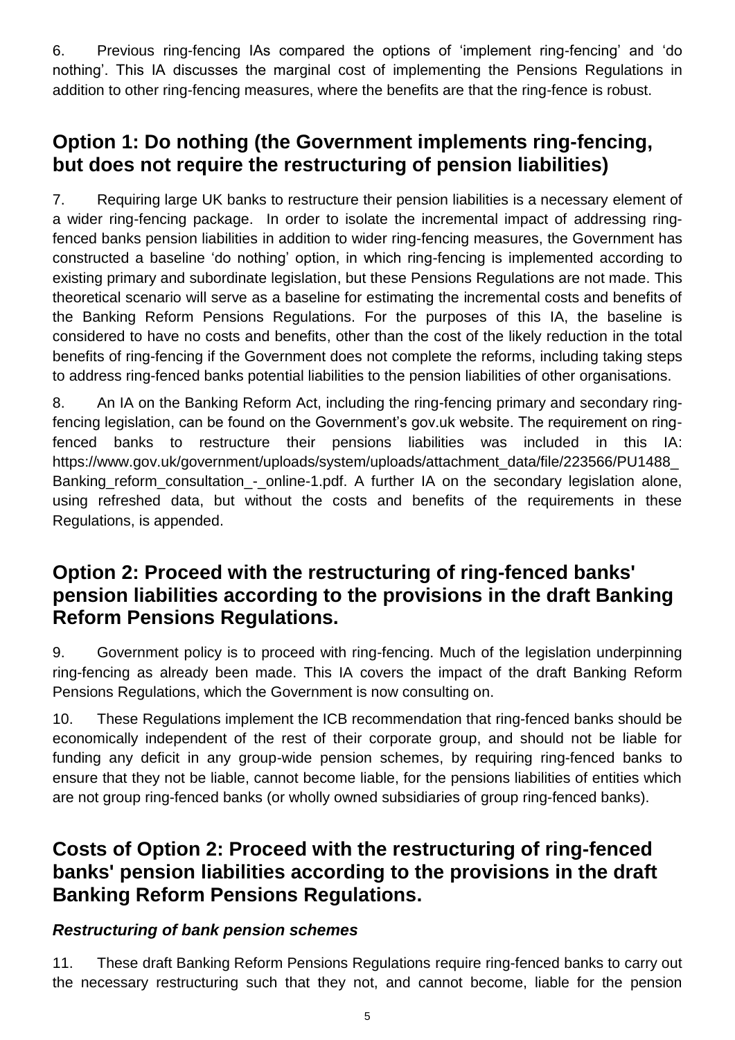6. Previous ring-fencing IAs compared the options of 'implement ring-fencing' and 'do nothing'. This IA discusses the marginal cost of implementing the Pensions Regulations in addition to other ring-fencing measures, where the benefits are that the ring-fence is robust.

# **Option 1: Do nothing (the Government implements ring-fencing, but does not require the restructuring of pension liabilities)**

7. Requiring large UK banks to restructure their pension liabilities is a necessary element of a wider ring-fencing package. In order to isolate the incremental impact of addressing ringfenced banks pension liabilities in addition to wider ring-fencing measures, the Government has constructed a baseline 'do nothing' option, in which ring-fencing is implemented according to existing primary and subordinate legislation, but these Pensions Regulations are not made. This theoretical scenario will serve as a baseline for estimating the incremental costs and benefits of the Banking Reform Pensions Regulations. For the purposes of this IA, the baseline is considered to have no costs and benefits, other than the cost of the likely reduction in the total benefits of ring-fencing if the Government does not complete the reforms, including taking steps to address ring-fenced banks potential liabilities to the pension liabilities of other organisations.

8. An IA on the Banking Reform Act, including the ring-fencing primary and secondary ringfencing legislation, can be found on the Government's gov.uk website. The requirement on ringfenced banks to restructure their pensions liabilities was included in this IA: https://www.gov.uk/government/uploads/system/uploads/attachment\_data/file/223566/PU1488\_ Banking reform consultation - online-1.pdf. A further IA on the secondary legislation alone, using refreshed data, but without the costs and benefits of the requirements in these Regulations, is appended.

# **Option 2: Proceed with the restructuring of ring-fenced banks' pension liabilities according to the provisions in the draft Banking Reform Pensions Regulations.**

9. Government policy is to proceed with ring-fencing. Much of the legislation underpinning ring-fencing as already been made. This IA covers the impact of the draft Banking Reform Pensions Regulations, which the Government is now consulting on.

10. These Regulations implement the ICB recommendation that ring-fenced banks should be economically independent of the rest of their corporate group, and should not be liable for funding any deficit in any group-wide pension schemes, by requiring ring-fenced banks to ensure that they not be liable, cannot become liable, for the pensions liabilities of entities which are not group ring-fenced banks (or wholly owned subsidiaries of group ring-fenced banks).

# **Costs of Option 2: Proceed with the restructuring of ring-fenced banks' pension liabilities according to the provisions in the draft Banking Reform Pensions Regulations.**

# *Restructuring of bank pension schemes*

11. These draft Banking Reform Pensions Regulations require ring-fenced banks to carry out the necessary restructuring such that they not, and cannot become, liable for the pension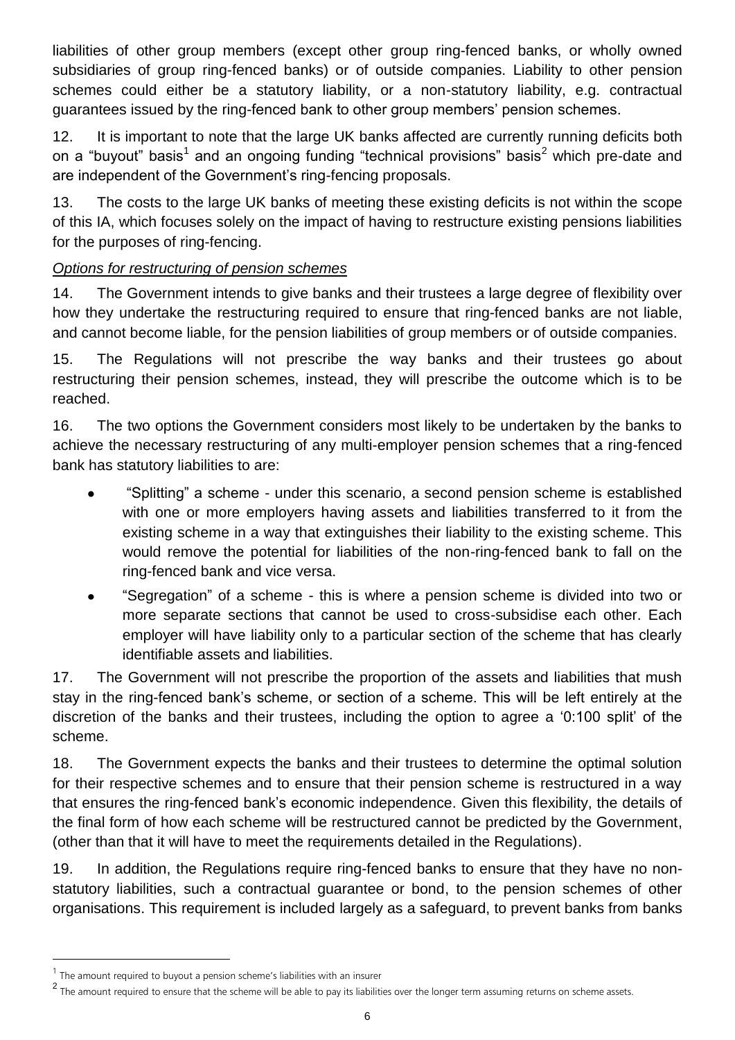liabilities of other group members (except other group ring-fenced banks, or wholly owned subsidiaries of group ring-fenced banks) or of outside companies. Liability to other pension schemes could either be a statutory liability, or a non-statutory liability, e.g. contractual guarantees issued by the ring-fenced bank to other group members' pension schemes.

12. It is important to note that the large UK banks affected are currently running deficits both on a "buyout" basis<sup>1</sup> and an ongoing funding "technical provisions" basis<sup>2</sup> which pre-date and are independent of the Government's ring-fencing proposals.

13. The costs to the large UK banks of meeting these existing deficits is not within the scope of this IA, which focuses solely on the impact of having to restructure existing pensions liabilities for the purposes of ring-fencing.

### *Options for restructuring of pension schemes*

14. The Government intends to give banks and their trustees a large degree of flexibility over how they undertake the restructuring required to ensure that ring-fenced banks are not liable, and cannot become liable, for the pension liabilities of group members or of outside companies.

15. The Regulations will not prescribe the way banks and their trustees go about restructuring their pension schemes, instead, they will prescribe the outcome which is to be reached.

16. The two options the Government considers most likely to be undertaken by the banks to achieve the necessary restructuring of any multi-employer pension schemes that a ring-fenced bank has statutory liabilities to are:

- "Splitting" a scheme under this scenario, a second pension scheme is established with one or more employers having assets and liabilities transferred to it from the existing scheme in a way that extinguishes their liability to the existing scheme. This would remove the potential for liabilities of the non-ring-fenced bank to fall on the ring-fenced bank and vice versa.
- "Segregation" of a scheme this is where a pension scheme is divided into two or more separate sections that cannot be used to cross-subsidise each other. Each employer will have liability only to a particular section of the scheme that has clearly identifiable assets and liabilities.

17. The Government will not prescribe the proportion of the assets and liabilities that mush stay in the ring-fenced bank's scheme, or section of a scheme. This will be left entirely at the discretion of the banks and their trustees, including the option to agree a '0:100 split' of the scheme.

18. The Government expects the banks and their trustees to determine the optimal solution for their respective schemes and to ensure that their pension scheme is restructured in a way that ensures the ring-fenced bank's economic independence. Given this flexibility, the details of the final form of how each scheme will be restructured cannot be predicted by the Government, (other than that it will have to meet the requirements detailed in the Regulations).

19. In addition, the Regulations require ring-fenced banks to ensure that they have no nonstatutory liabilities, such a contractual guarantee or bond, to the pension schemes of other organisations. This requirement is included largely as a safeguard, to prevent banks from banks

l

 $<sup>1</sup>$  The amount required to buyout a pension scheme's liabilities with an insurer</sup>

<sup>&</sup>lt;sup>2</sup> The amount required to ensure that the scheme will be able to pay its liabilities over the longer term assuming returns on scheme assets.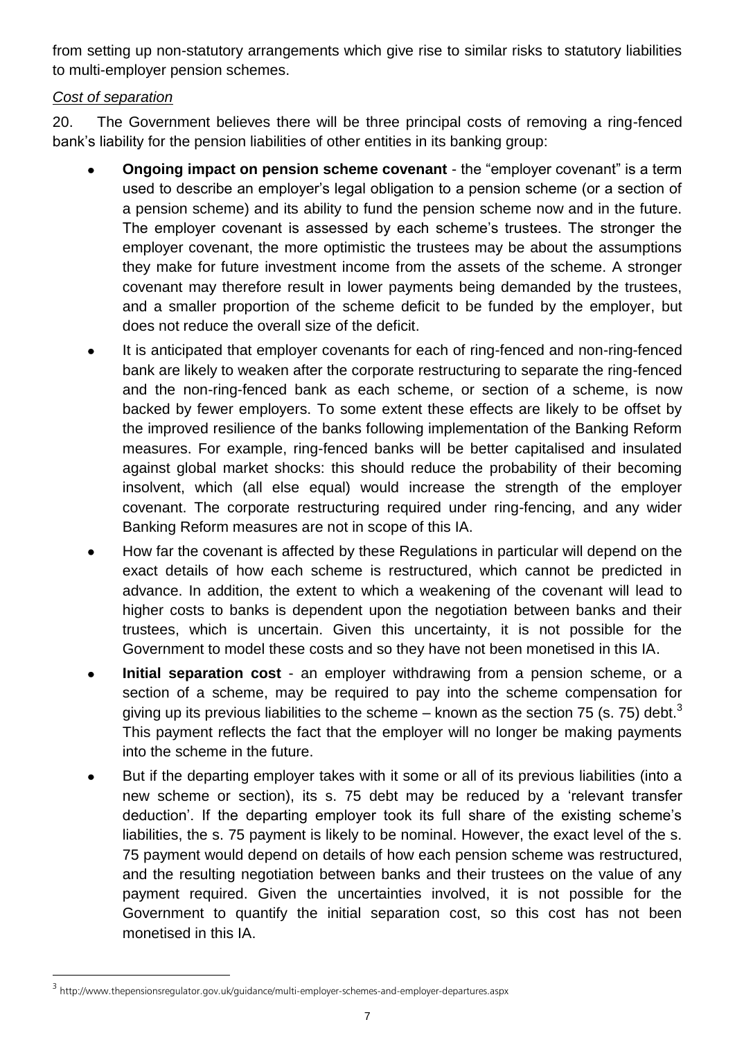from setting up non-statutory arrangements which give rise to similar risks to statutory liabilities to multi-employer pension schemes.

### *Cost of separation*

20. The Government believes there will be three principal costs of removing a ring-fenced bank's liability for the pension liabilities of other entities in its banking group:

- **Ongoing impact on pension scheme covenant** the "employer covenant" is a term used to describe an employer's legal obligation to a pension scheme (or a section of a pension scheme) and its ability to fund the pension scheme now and in the future. The employer covenant is assessed by each scheme's trustees. The stronger the employer covenant, the more optimistic the trustees may be about the assumptions they make for future investment income from the assets of the scheme. A stronger covenant may therefore result in lower payments being demanded by the trustees, and a smaller proportion of the scheme deficit to be funded by the employer, but does not reduce the overall size of the deficit.
- It is anticipated that employer covenants for each of ring-fenced and non-ring-fenced bank are likely to weaken after the corporate restructuring to separate the ring-fenced and the non-ring-fenced bank as each scheme, or section of a scheme, is now backed by fewer employers. To some extent these effects are likely to be offset by the improved resilience of the banks following implementation of the Banking Reform measures. For example, ring-fenced banks will be better capitalised and insulated against global market shocks: this should reduce the probability of their becoming insolvent, which (all else equal) would increase the strength of the employer covenant. The corporate restructuring required under ring-fencing, and any wider Banking Reform measures are not in scope of this IA.
- How far the covenant is affected by these Regulations in particular will depend on the  $\bullet$ exact details of how each scheme is restructured, which cannot be predicted in advance. In addition, the extent to which a weakening of the covenant will lead to higher costs to banks is dependent upon the negotiation between banks and their trustees, which is uncertain. Given this uncertainty, it is not possible for the Government to model these costs and so they have not been monetised in this IA.
- **Initial separation cost** an employer withdrawing from a pension scheme, or a section of a scheme, may be required to pay into the scheme compensation for giving up its previous liabilities to the scheme – known as the section 75 (s. 75) debt.<sup>3</sup> This payment reflects the fact that the employer will no longer be making payments into the scheme in the future.
- But if the departing employer takes with it some or all of its previous liabilities (into a new scheme or section), its s. 75 debt may be reduced by a 'relevant transfer deduction'. If the departing employer took its full share of the existing scheme's liabilities, the s. 75 payment is likely to be nominal. However, the exact level of the s. 75 payment would depend on details of how each pension scheme was restructured, and the resulting negotiation between banks and their trustees on the value of any payment required. Given the uncertainties involved, it is not possible for the Government to quantify the initial separation cost, so this cost has not been monetised in this IA.

l

<sup>&</sup>lt;sup>3</sup>http://www.thepensionsregulator.gov.uk/guidance/multi-employer-schemes-and-employer-departures.aspx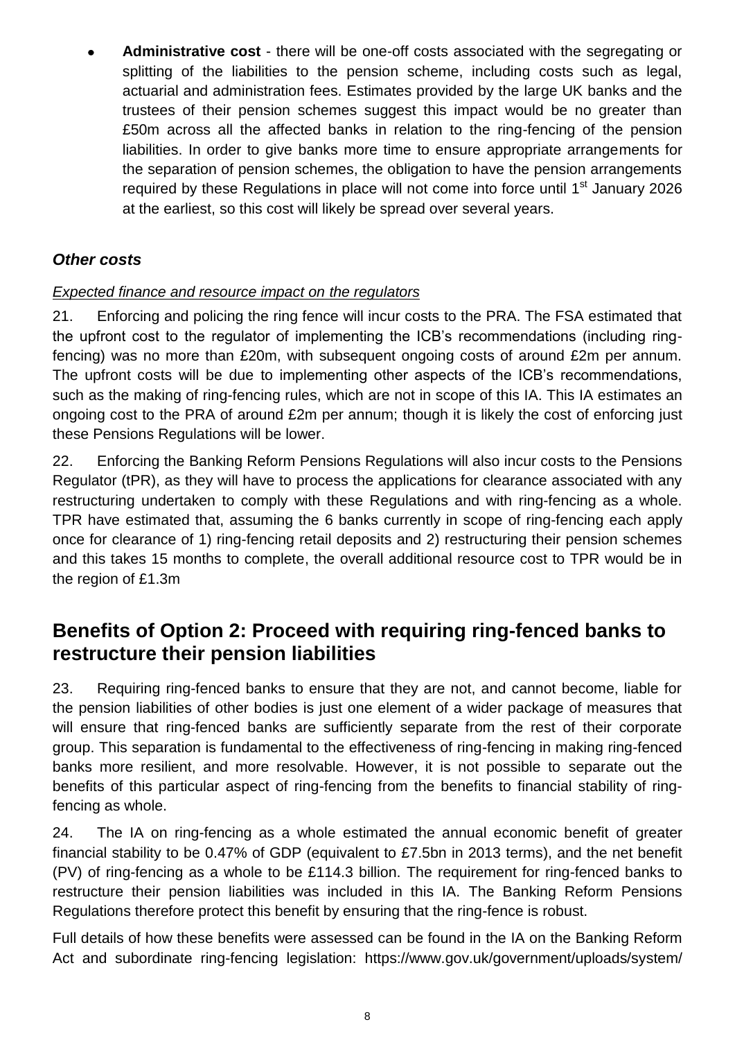**Administrative cost** - there will be one-off costs associated with the segregating or splitting of the liabilities to the pension scheme, including costs such as legal, actuarial and administration fees. Estimates provided by the large UK banks and the trustees of their pension schemes suggest this impact would be no greater than £50m across all the affected banks in relation to the ring-fencing of the pension liabilities. In order to give banks more time to ensure appropriate arrangements for the separation of pension schemes, the obligation to have the pension arrangements required by these Regulations in place will not come into force until 1<sup>st</sup> January 2026 at the earliest, so this cost will likely be spread over several years.

# *Other costs*

### *Expected finance and resource impact on the regulators*

21. Enforcing and policing the ring fence will incur costs to the PRA. The FSA estimated that the upfront cost to the regulator of implementing the ICB's recommendations (including ringfencing) was no more than £20m, with subsequent ongoing costs of around £2m per annum. The upfront costs will be due to implementing other aspects of the ICB's recommendations, such as the making of ring-fencing rules, which are not in scope of this IA. This IA estimates an ongoing cost to the PRA of around £2m per annum; though it is likely the cost of enforcing just these Pensions Regulations will be lower.

22. Enforcing the Banking Reform Pensions Regulations will also incur costs to the Pensions Regulator (tPR), as they will have to process the applications for clearance associated with any restructuring undertaken to comply with these Regulations and with ring-fencing as a whole. TPR have estimated that, assuming the 6 banks currently in scope of ring-fencing each apply once for clearance of 1) ring-fencing retail deposits and 2) restructuring their pension schemes and this takes 15 months to complete, the overall additional resource cost to TPR would be in the region of £1.3m

# **Benefits of Option 2: Proceed with requiring ring-fenced banks to restructure their pension liabilities**

23. Requiring ring-fenced banks to ensure that they are not, and cannot become, liable for the pension liabilities of other bodies is just one element of a wider package of measures that will ensure that ring-fenced banks are sufficiently separate from the rest of their corporate group. This separation is fundamental to the effectiveness of ring-fencing in making ring-fenced banks more resilient, and more resolvable. However, it is not possible to separate out the benefits of this particular aspect of ring-fencing from the benefits to financial stability of ringfencing as whole.

24. The IA on ring-fencing as a whole estimated the annual economic benefit of greater financial stability to be 0.47% of GDP (equivalent to £7.5bn in 2013 terms), and the net benefit (PV) of ring-fencing as a whole to be £114.3 billion. The requirement for ring-fenced banks to restructure their pension liabilities was included in this IA. The Banking Reform Pensions Regulations therefore protect this benefit by ensuring that the ring-fence is robust.

Full details of how these benefits were assessed can be found in the IA on the Banking Reform Act and subordinate ring-fencing legislation: https://www.gov.uk/government/uploads/system/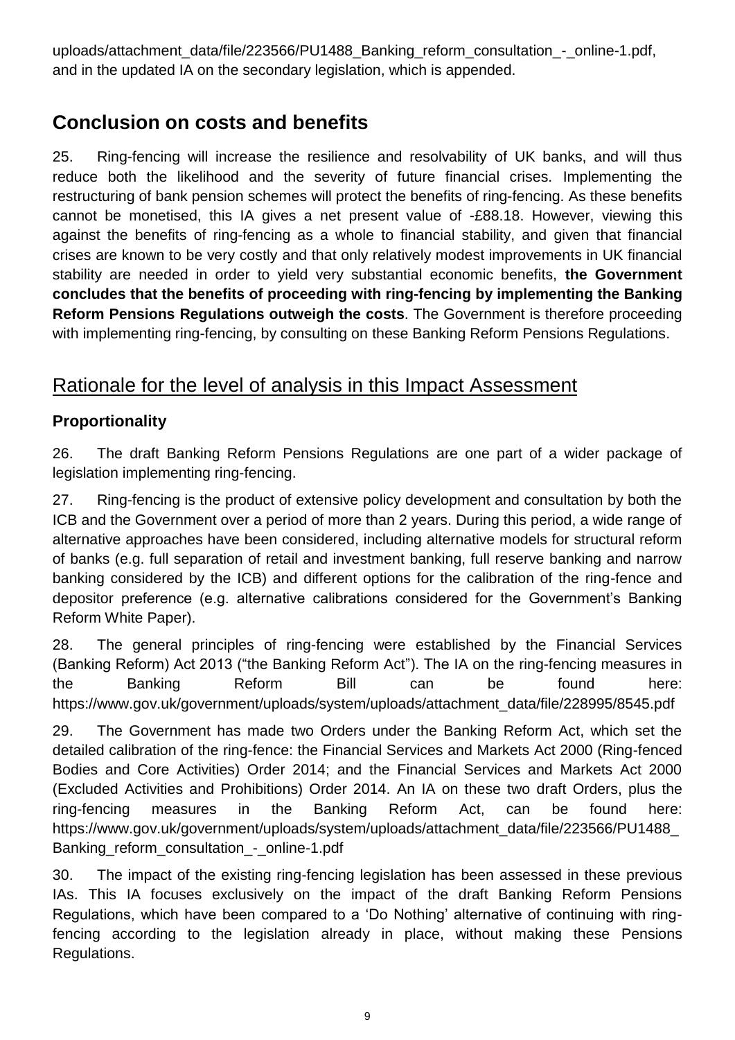uploads/attachment\_data/file/223566/PU1488\_Banking\_reform\_consultation -\_online-1.pdf, and in the updated IA on the secondary legislation, which is appended.

# **Conclusion on costs and benefits**

25. Ring-fencing will increase the resilience and resolvability of UK banks, and will thus reduce both the likelihood and the severity of future financial crises. Implementing the restructuring of bank pension schemes will protect the benefits of ring-fencing. As these benefits cannot be monetised, this IA gives a net present value of -£88.18. However, viewing this against the benefits of ring-fencing as a whole to financial stability, and given that financial crises are known to be very costly and that only relatively modest improvements in UK financial stability are needed in order to yield very substantial economic benefits, **the Government concludes that the benefits of proceeding with ring-fencing by implementing the Banking Reform Pensions Regulations outweigh the costs**. The Government is therefore proceeding with implementing ring-fencing, by consulting on these Banking Reform Pensions Regulations.

# Rationale for the level of analysis in this Impact Assessment

# **Proportionality**

26. The draft Banking Reform Pensions Regulations are one part of a wider package of legislation implementing ring-fencing.

27. Ring-fencing is the product of extensive policy development and consultation by both the ICB and the Government over a period of more than 2 years. During this period, a wide range of alternative approaches have been considered, including alternative models for structural reform of banks (e.g. full separation of retail and investment banking, full reserve banking and narrow banking considered by the ICB) and different options for the calibration of the ring-fence and depositor preference (e.g. alternative calibrations considered for the Government's Banking Reform White Paper).

28. The general principles of ring-fencing were established by the Financial Services (Banking Reform) Act 2013 ("the Banking Reform Act"). The IA on the ring-fencing measures in the Banking Reform Bill can be found here: https://www.gov.uk/government/uploads/system/uploads/attachment\_data/file/228995/8545.pdf

29. The Government has made two Orders under the Banking Reform Act, which set the detailed calibration of the ring-fence: the Financial Services and Markets Act 2000 (Ring-fenced Bodies and Core Activities) Order 2014; and the Financial Services and Markets Act 2000 (Excluded Activities and Prohibitions) Order 2014. An IA on these two draft Orders, plus the ring-fencing measures in the Banking Reform Act, can be found here: https://www.gov.uk/government/uploads/system/uploads/attachment\_data/file/223566/PU1488\_ Banking\_reform\_consultation -\_online-1.pdf

30. The impact of the existing ring-fencing legislation has been assessed in these previous IAs. This IA focuses exclusively on the impact of the draft Banking Reform Pensions Regulations, which have been compared to a 'Do Nothing' alternative of continuing with ringfencing according to the legislation already in place, without making these Pensions Regulations.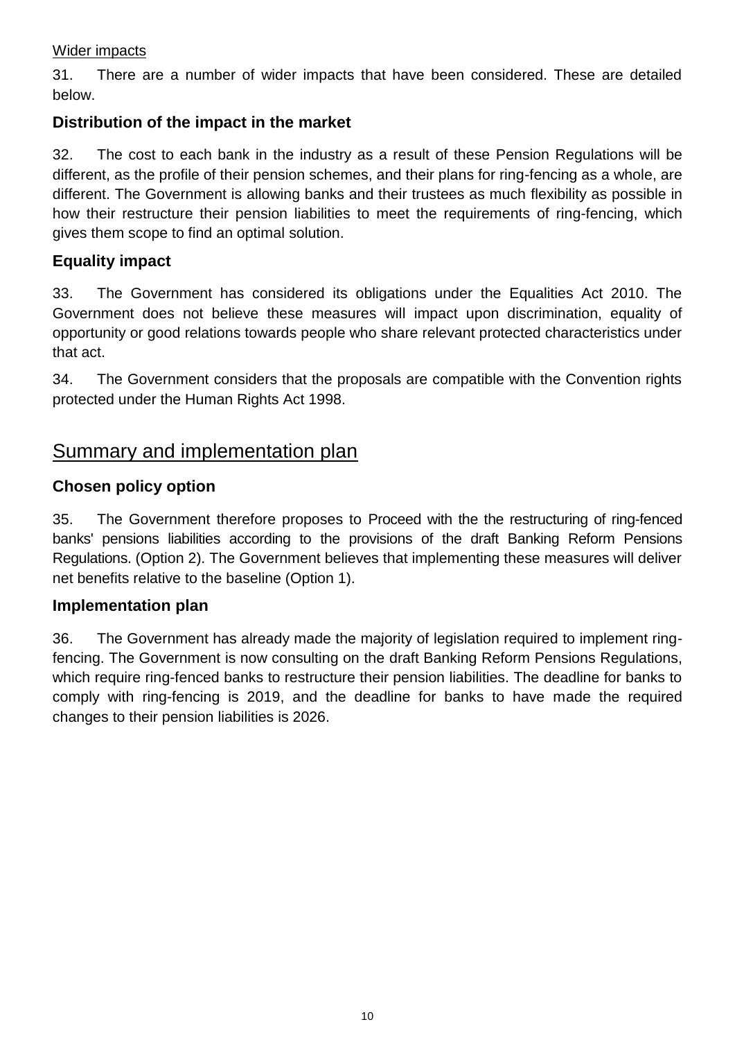### Wider impacts

31. There are a number of wider impacts that have been considered. These are detailed below.

### **Distribution of the impact in the market**

32. The cost to each bank in the industry as a result of these Pension Regulations will be different, as the profile of their pension schemes, and their plans for ring-fencing as a whole, are different. The Government is allowing banks and their trustees as much flexibility as possible in how their restructure their pension liabilities to meet the requirements of ring-fencing, which gives them scope to find an optimal solution.

### **Equality impact**

33. The Government has considered its obligations under the Equalities Act 2010. The Government does not believe these measures will impact upon discrimination, equality of opportunity or good relations towards people who share relevant protected characteristics under that act.

34. The Government considers that the proposals are compatible with the Convention rights protected under the Human Rights Act 1998.

# Summary and implementation plan

### **Chosen policy option**

35. The Government therefore proposes to Proceed with the the restructuring of ring-fenced banks' pensions liabilities according to the provisions of the draft Banking Reform Pensions Regulations. (Option 2). The Government believes that implementing these measures will deliver net benefits relative to the baseline (Option 1).

### **Implementation plan**

36. The Government has already made the majority of legislation required to implement ringfencing. The Government is now consulting on the draft Banking Reform Pensions Regulations, which require ring-fenced banks to restructure their pension liabilities. The deadline for banks to comply with ring-fencing is 2019, and the deadline for banks to have made the required changes to their pension liabilities is 2026.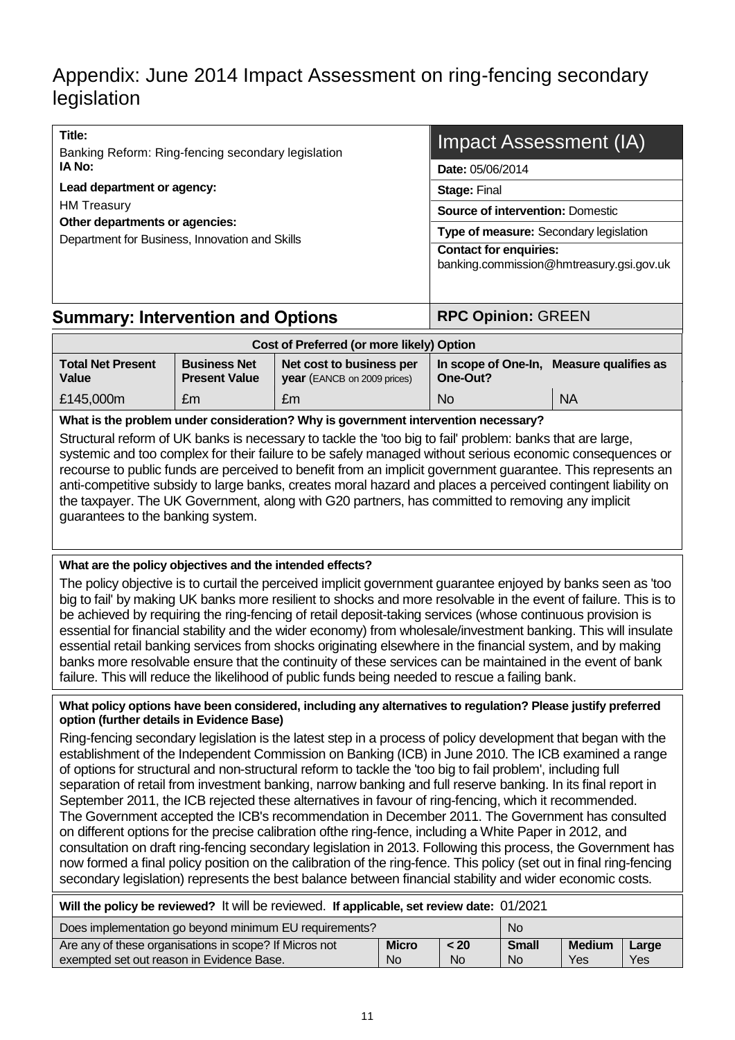# Appendix: June 2014 Impact Assessment on ring-fencing secondary legislation

| Title:<br>Banking Reform: Ring-fencing secondary legislation                     | <b>Impact Assessment (IA)</b>                                             |  |  |  |
|----------------------------------------------------------------------------------|---------------------------------------------------------------------------|--|--|--|
| IA No:<br>Lead department or agency:                                             | <b>Date: 05/06/2014</b>                                                   |  |  |  |
|                                                                                  | <b>Stage: Final</b>                                                       |  |  |  |
| <b>HM Treasury</b>                                                               | <b>Source of intervention: Domestic</b>                                   |  |  |  |
| Other departments or agencies:<br>Department for Business, Innovation and Skills | Type of measure: Secondary legislation                                    |  |  |  |
|                                                                                  | <b>Contact for enquiries:</b><br>banking.commission@hmtreasury.gsi.gov.uk |  |  |  |
| <b>Summary: Intervention and Options</b>                                         | <b>RPC Opinion: GREEN</b>                                                 |  |  |  |

| Cost of Preferred (or more likely) Option |                                             |                                                                |                                                      |           |  |  |  |
|-------------------------------------------|---------------------------------------------|----------------------------------------------------------------|------------------------------------------------------|-----------|--|--|--|
| <b>Total Net Present</b><br>Value         | <b>Business Net</b><br><b>Present Value</b> | Net cost to business per<br><b>year</b> (EANCB on 2009 prices) | In scope of One-In, Measure qualifies as<br>One-Out? |           |  |  |  |
| £145,000m                                 | £m                                          | £m                                                             | <b>No</b>                                            | <b>NA</b> |  |  |  |

#### **What is the problem under consideration? Why is government intervention necessary?**

Structural reform of UK banks is necessary to tackle the 'too big to fail' problem: banks that are large, systemic and too complex for their failure to be safely managed without serious economic consequences or recourse to public funds are perceived to benefit from an implicit government guarantee. This represents an anti-competitive subsidy to large banks, creates moral hazard and places a perceived contingent liability on the taxpayer. The UK Government, along with G20 partners, has committed to removing any implicit guarantees to the banking system.

#### **What are the policy objectives and the intended effects?**

The policy objective is to curtail the perceived implicit government guarantee enjoyed by banks seen as 'too big to fail' by making UK banks more resilient to shocks and more resolvable in the event of failure. This is to be achieved by requiring the ring-fencing of retail deposit-taking services (whose continuous provision is essential for financial stability and the wider economy) from wholesale/investment banking. This will insulate essential retail banking services from shocks originating elsewhere in the financial system, and by making banks more resolvable ensure that the continuity of these services can be maintained in the event of bank failure. This will reduce the likelihood of public funds being needed to rescue a failing bank.

#### **What policy options have been considered, including any alternatives to regulation? Please justify preferred option (further details in Evidence Base)**

Ring-fencing secondary legislation is the latest step in a process of policy development that began with the establishment of the Independent Commission on Banking (ICB) in June 2010. The ICB examined a range of options for structural and non-structural reform to tackle the 'too big to fail problem', including full separation of retail from investment banking, narrow banking and full reserve banking. In its final report in September 2011, the ICB rejected these alternatives in favour of ring-fencing, which it recommended. The Government accepted the ICB's recommendation in December 2011. The Government has consulted on different options for the precise calibration ofthe ring-fence, including a White Paper in 2012, and consultation on draft ring-fencing secondary legislation in 2013. Following this process, the Government has now formed a final policy position on the calibration of the ring-fence. This policy (set out in final ring-fencing secondary legislation) represents the best balance between financial stability and wider economic costs.

| Will the policy be reviewed? It will be reviewed. If applicable, set review date: 01/2021                       |                |           |           |     |       |  |  |
|-----------------------------------------------------------------------------------------------------------------|----------------|-----------|-----------|-----|-------|--|--|
| Does implementation go beyond minimum EU requirements?<br>No.                                                   |                |           |           |     |       |  |  |
| Are any of these organisations in scope? If Micros not<br><b>Small</b><br>< 20<br><b>Medium</b><br><b>Micro</b> |                |           |           |     | Large |  |  |
| exempted set out reason in Evidence Base.                                                                       | N <sub>o</sub> | <b>No</b> | <b>No</b> | Yes | Yes   |  |  |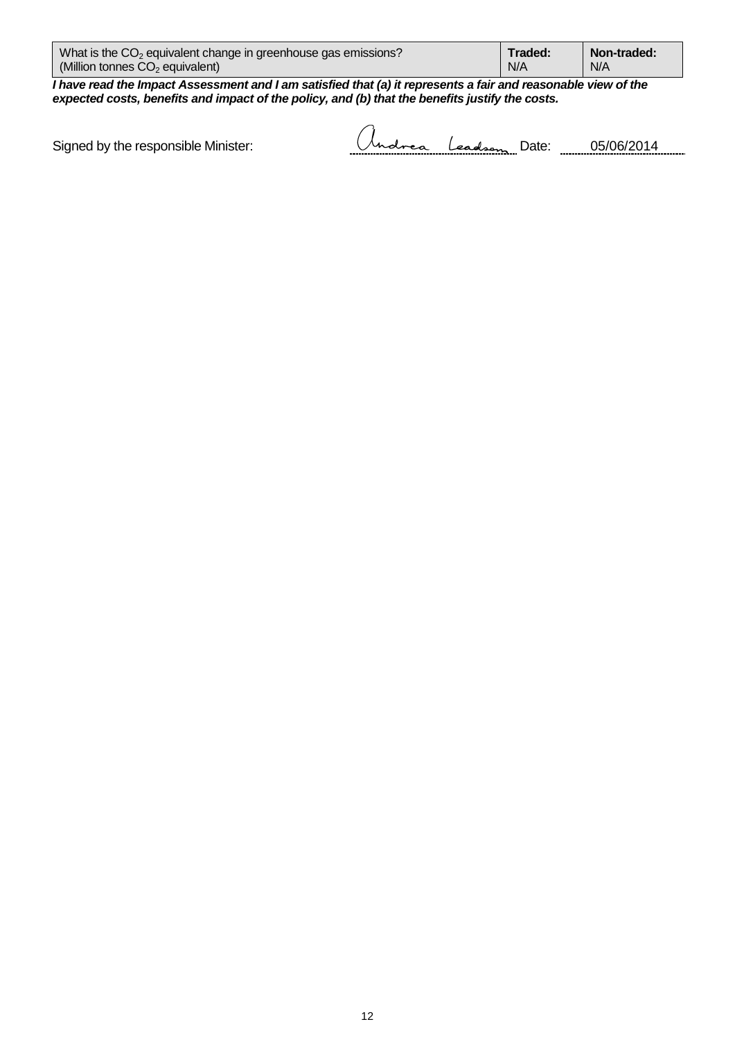| What is the $CO2$ equivalent change in greenhouse gas emissions? | Traded: | Non-traded: |
|------------------------------------------------------------------|---------|-------------|
| (Million tonnes $CO2$ equivalent)                                | N/A     | N/A         |
|                                                                  |         |             |

 $\sim$ 

*I have read the Impact Assessment and I am satisfied that (a) it represents a fair and reasonable view of the expected costs, benefits and impact of the policy, and (b) that the benefits justify the costs.*

Signed by the responsible Minister:

| -------- | ----<br>---- | . .<br>---------------- |  |  |
|----------|--------------|-------------------------|--|--|
|----------|--------------|-------------------------|--|--|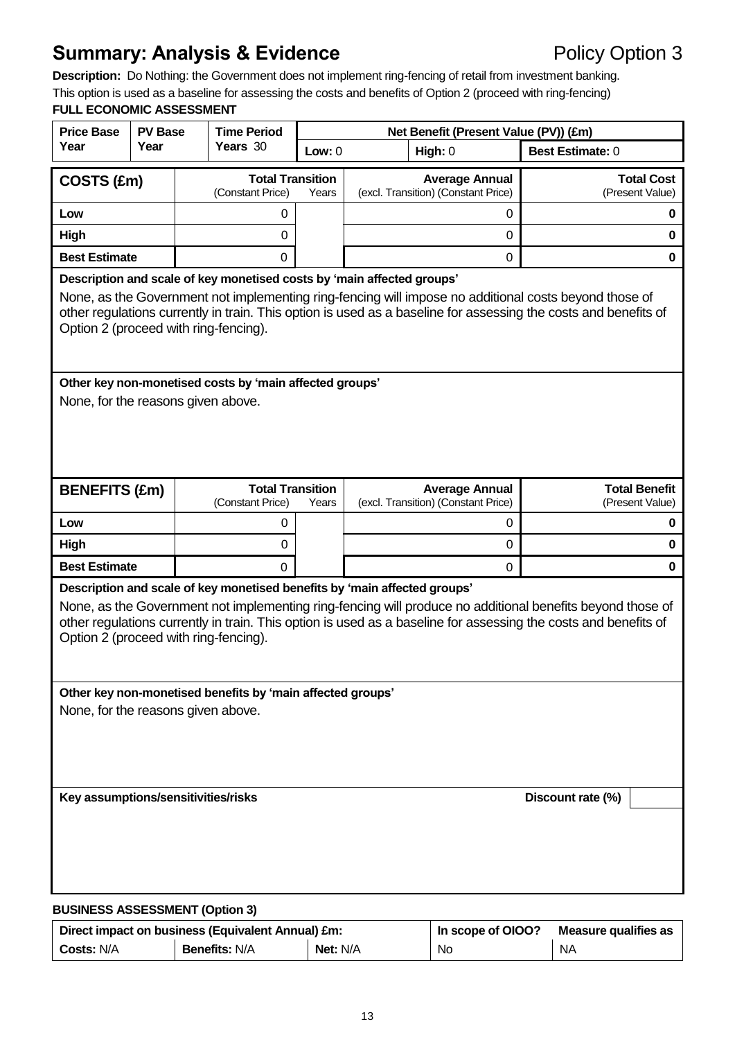# **Summary: Analysis & Evidence** Policy Option 3

**Description:** Do Nothing: the Government does not implement ring-fencing of retail from investment banking. This option is used as a baseline for assessing the costs and benefits of Option 2 (proceed with ring-fencing) **FULL ECONOMIC ASSESSMENT**

# **Price Base Year PV Base Year Time Period Years** 30 **Net Benefit (Present Value (PV)) (£m) Low:** 0 **High:** 0 **Best Estimate:** 0 **COSTS (£m)** <br>
(Constant Price) Years (Constant Price) **Average Annual** (excl. Transition) (Constant Price) **Total Cost** (Present Value) **Low** 0 0 **0 High** 0 0 **0 Best Estimate** 0 0 **0 Description and scale of key monetised costs by 'main affected groups'**  None, as the Government not implementing ring-fencing will impose no additional costs beyond those of other regulations currently in train. This option is used as a baseline for assessing the costs and benefits of Option 2 (proceed with ring-fencing). **Other key non-monetised costs by 'main affected groups'**  None, for the reasons given above. **BENEFITS (£m) Total Transition Total Transition** *Constant Price*) Years (Constant Price) **Average Annual** (excl. Transition) (Constant Price) **Total Benefit** (Present Value) **Low** 0 0 **0 High** 0 0 **0 Best Estimate** 0 0 **0 Description and scale of key monetised benefits by 'main affected groups'**  None, as the Government not implementing ring-fencing will produce no additional benefits beyond those of other regulations currently in train. This option is used as a baseline for assessing the costs and benefits of Option 2 (proceed with ring-fencing). **Other key non-monetised benefits by 'main affected groups'**  None, for the reasons given above. **Key assumptions/sensitivities/risks Discount rate (%)**

#### **BUSINESS ASSESSMENT (Option 3)**

|                   | Direct impact on business (Equivalent Annual) £m: | In scope of OIOO? | Measure qualifies as |           |
|-------------------|---------------------------------------------------|-------------------|----------------------|-----------|
| <b>Costs: N/A</b> | <b>Benefits: N/A</b>                              | <b>Net: N/A</b>   | No                   | <b>NA</b> |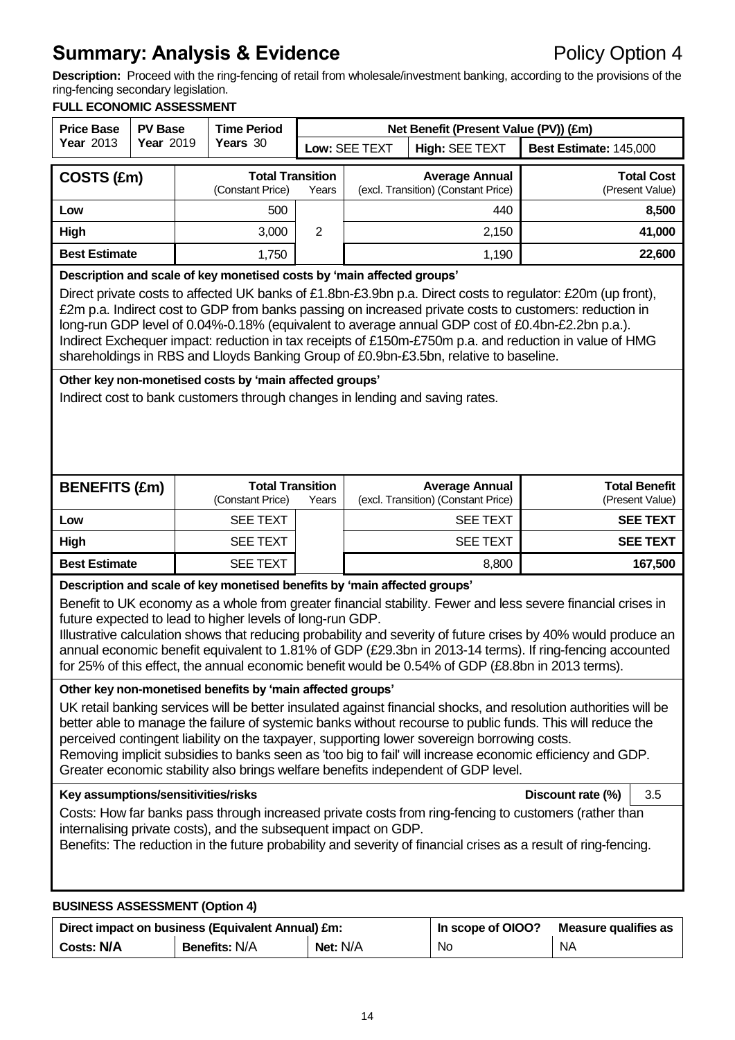# **Summary: Analysis & Evidence** Policy Option 4

**Description:** Proceed with the ring-fencing of retail from wholesale/investment banking, according to the provisions of the ring-fencing secondary legislation.

#### **FULL ECONOMIC ASSESSMENT**

| <b>Price Base</b>                                                                                                                                                                                                                                                                                                                                                                                                                                                                                                                                                                                                                                                                                                                                                                                                                            | <b>PV Base</b> | <b>Time Period</b> | Net Benefit (Present Value (PV)) (£m)       |                |                                                              |                                                              |                                      |                                         |
|----------------------------------------------------------------------------------------------------------------------------------------------------------------------------------------------------------------------------------------------------------------------------------------------------------------------------------------------------------------------------------------------------------------------------------------------------------------------------------------------------------------------------------------------------------------------------------------------------------------------------------------------------------------------------------------------------------------------------------------------------------------------------------------------------------------------------------------------|----------------|--------------------|---------------------------------------------|----------------|--------------------------------------------------------------|--------------------------------------------------------------|--------------------------------------|-----------------------------------------|
| Year 2013                                                                                                                                                                                                                                                                                                                                                                                                                                                                                                                                                                                                                                                                                                                                                                                                                                    | Year 2019      |                    | Years 30                                    |                | Low: SEE TEXT                                                | High: SEE TEXT                                               | Best Estimate: 145,000               |                                         |
| COSTS (£m)                                                                                                                                                                                                                                                                                                                                                                                                                                                                                                                                                                                                                                                                                                                                                                                                                                   |                |                    | <b>Total Transition</b><br>(Constant Price) | Years          | <b>Average Annual</b><br>(excl. Transition) (Constant Price) |                                                              | <b>Total Cost</b><br>(Present Value) |                                         |
| Low                                                                                                                                                                                                                                                                                                                                                                                                                                                                                                                                                                                                                                                                                                                                                                                                                                          |                |                    | 500                                         |                | 440                                                          |                                                              | 8,500                                |                                         |
| High                                                                                                                                                                                                                                                                                                                                                                                                                                                                                                                                                                                                                                                                                                                                                                                                                                         |                |                    | 3,000                                       | $\overline{2}$ |                                                              | 2,150                                                        |                                      | 41,000                                  |
| <b>Best Estimate</b>                                                                                                                                                                                                                                                                                                                                                                                                                                                                                                                                                                                                                                                                                                                                                                                                                         |                |                    | 1,750                                       |                |                                                              | 1,190                                                        |                                      | 22,600                                  |
| Description and scale of key monetised costs by 'main affected groups'<br>Direct private costs to affected UK banks of £1.8bn-£3.9bn p.a. Direct costs to regulator: £20m (up front),<br>£2m p.a. Indirect cost to GDP from banks passing on increased private costs to customers: reduction in<br>long-run GDP level of 0.04%-0.18% (equivalent to average annual GDP cost of £0.4bn-£2.2bn p.a.).<br>Indirect Exchequer impact: reduction in tax receipts of £150m-£750m p.a. and reduction in value of HMG<br>shareholdings in RBS and Lloyds Banking Group of £0.9bn-£3.5bn, relative to baseline.                                                                                                                                                                                                                                       |                |                    |                                             |                |                                                              |                                                              |                                      |                                         |
| Other key non-monetised costs by 'main affected groups'<br>Indirect cost to bank customers through changes in lending and saving rates.                                                                                                                                                                                                                                                                                                                                                                                                                                                                                                                                                                                                                                                                                                      |                |                    |                                             |                |                                                              |                                                              |                                      |                                         |
| <b>BENEFITS (£m)</b>                                                                                                                                                                                                                                                                                                                                                                                                                                                                                                                                                                                                                                                                                                                                                                                                                         |                |                    | <b>Total Transition</b><br>(Constant Price) | Years          |                                                              | <b>Average Annual</b><br>(excl. Transition) (Constant Price) |                                      | <b>Total Benefit</b><br>(Present Value) |
| Low                                                                                                                                                                                                                                                                                                                                                                                                                                                                                                                                                                                                                                                                                                                                                                                                                                          |                |                    | <b>SEE TEXT</b>                             |                | <b>SEE TEXT</b>                                              |                                                              |                                      | <b>SEE TEXT</b>                         |
| High                                                                                                                                                                                                                                                                                                                                                                                                                                                                                                                                                                                                                                                                                                                                                                                                                                         |                |                    | <b>SEE TEXT</b>                             |                |                                                              | <b>SEE TEXT</b>                                              |                                      | <b>SEE TEXT</b>                         |
| <b>Best Estimate</b>                                                                                                                                                                                                                                                                                                                                                                                                                                                                                                                                                                                                                                                                                                                                                                                                                         |                |                    | <b>SEE TEXT</b>                             | 8,800          |                                                              |                                                              | 167,500                              |                                         |
| Description and scale of key monetised benefits by 'main affected groups'<br>Benefit to UK economy as a whole from greater financial stability. Fewer and less severe financial crises in<br>future expected to lead to higher levels of long-run GDP.<br>Illustrative calculation shows that reducing probability and severity of future crises by 40% would produce an<br>annual economic benefit equivalent to 1.81% of GDP (£29.3bn in 2013-14 terms). If ring-fencing accounted<br>for 25% of this effect, the annual economic benefit would be 0.54% of GDP (£8.8bn in 2013 terms).                                                                                                                                                                                                                                                    |                |                    |                                             |                |                                                              |                                                              |                                      |                                         |
| Other key non-monetised benefits by 'main affected groups'<br>UK retail banking services will be better insulated against financial shocks, and resolution authorities will be<br>better able to manage the failure of systemic banks without recourse to public funds. This will reduce the<br>perceived contingent liability on the taxpayer, supporting lower sovereign borrowing costs.<br>Removing implicit subsidies to banks seen as 'too big to fail' will increase economic efficiency and GDP.<br>Greater economic stability also brings welfare benefits independent of GDP level.<br>Key assumptions/sensitivities/risks<br>Discount rate (%)<br>3.5<br>Costs: How far banks pass through increased private costs from ring-fencing to customers (rather than<br>internalising private costs), and the subsequent impact on GDP. |                |                    |                                             |                |                                                              |                                                              |                                      |                                         |
| Benefits: The reduction in the future probability and severity of financial crises as a result of ring-fencing.<br><b>BUSINESS ASSESSMENT (Option 4)</b>                                                                                                                                                                                                                                                                                                                                                                                                                                                                                                                                                                                                                                                                                     |                |                    |                                             |                |                                                              |                                                              |                                      |                                         |

|                   | Direct impact on business (Equivalent Annual) £m: | In scope of OIOO? | Measure qualifies as |    |
|-------------------|---------------------------------------------------|-------------------|----------------------|----|
| <b>Costs: N/A</b> | <b>Benefits: N/A</b>                              | Net: N/A          | No                   | NA |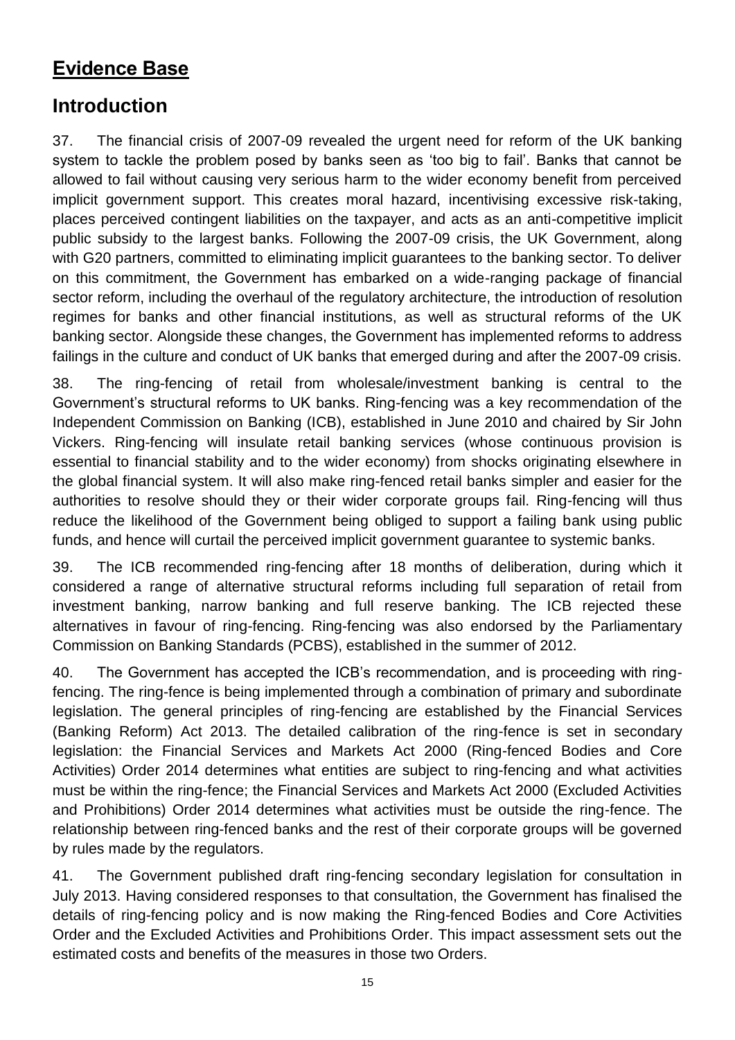# **Evidence Base**

# **Introduction**

37. The financial crisis of 2007-09 revealed the urgent need for reform of the UK banking system to tackle the problem posed by banks seen as 'too big to fail'. Banks that cannot be allowed to fail without causing very serious harm to the wider economy benefit from perceived implicit government support. This creates moral hazard, incentivising excessive risk-taking, places perceived contingent liabilities on the taxpayer, and acts as an anti-competitive implicit public subsidy to the largest banks. Following the 2007-09 crisis, the UK Government, along with G20 partners, committed to eliminating implicit guarantees to the banking sector. To deliver on this commitment, the Government has embarked on a wide-ranging package of financial sector reform, including the overhaul of the regulatory architecture, the introduction of resolution regimes for banks and other financial institutions, as well as structural reforms of the UK banking sector. Alongside these changes, the Government has implemented reforms to address failings in the culture and conduct of UK banks that emerged during and after the 2007-09 crisis.

38. The ring-fencing of retail from wholesale/investment banking is central to the Government's structural reforms to UK banks. Ring-fencing was a key recommendation of the Independent Commission on Banking (ICB), established in June 2010 and chaired by Sir John Vickers. Ring-fencing will insulate retail banking services (whose continuous provision is essential to financial stability and to the wider economy) from shocks originating elsewhere in the global financial system. It will also make ring-fenced retail banks simpler and easier for the authorities to resolve should they or their wider corporate groups fail. Ring-fencing will thus reduce the likelihood of the Government being obliged to support a failing bank using public funds, and hence will curtail the perceived implicit government guarantee to systemic banks.

39. The ICB recommended ring-fencing after 18 months of deliberation, during which it considered a range of alternative structural reforms including full separation of retail from investment banking, narrow banking and full reserve banking. The ICB rejected these alternatives in favour of ring-fencing. Ring-fencing was also endorsed by the Parliamentary Commission on Banking Standards (PCBS), established in the summer of 2012.

40. The Government has accepted the ICB's recommendation, and is proceeding with ringfencing. The ring-fence is being implemented through a combination of primary and subordinate legislation. The general principles of ring-fencing are established by the Financial Services (Banking Reform) Act 2013. The detailed calibration of the ring-fence is set in secondary legislation: the Financial Services and Markets Act 2000 (Ring-fenced Bodies and Core Activities) Order 2014 determines what entities are subject to ring-fencing and what activities must be within the ring-fence; the Financial Services and Markets Act 2000 (Excluded Activities and Prohibitions) Order 2014 determines what activities must be outside the ring-fence. The relationship between ring-fenced banks and the rest of their corporate groups will be governed by rules made by the regulators.

41. The Government published draft ring-fencing secondary legislation for consultation in July 2013. Having considered responses to that consultation, the Government has finalised the details of ring-fencing policy and is now making the Ring-fenced Bodies and Core Activities Order and the Excluded Activities and Prohibitions Order. This impact assessment sets out the estimated costs and benefits of the measures in those two Orders.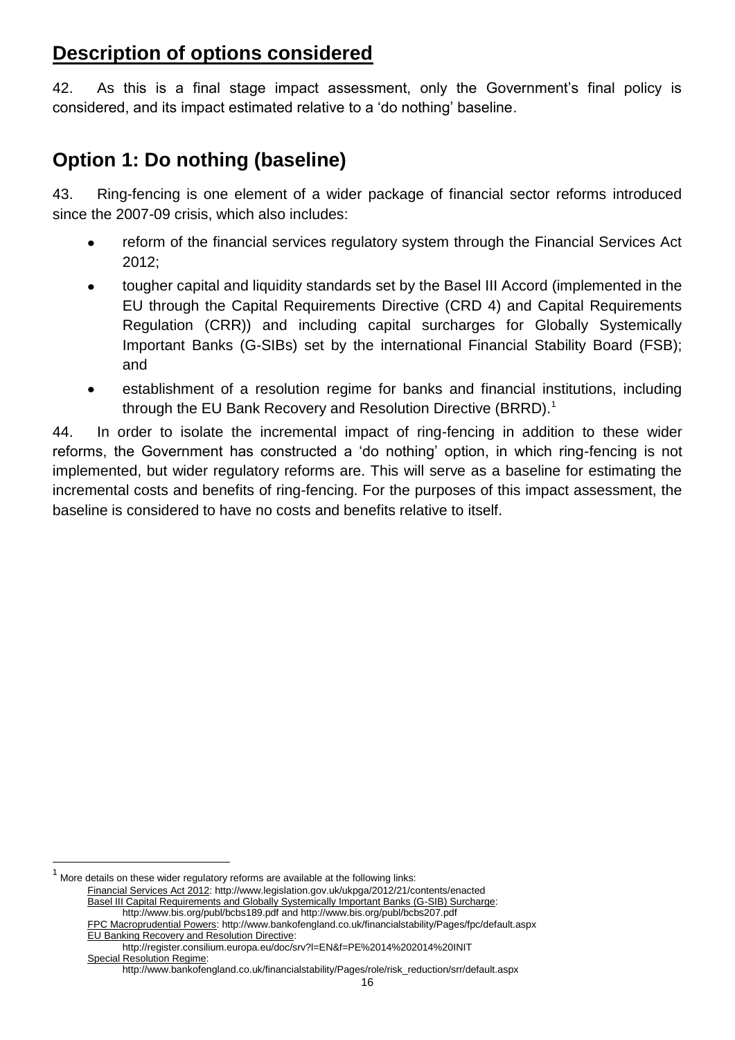# **Description of options considered**

42. As this is a final stage impact assessment, only the Government's final policy is considered, and its impact estimated relative to a 'do nothing' baseline.

# **Option 1: Do nothing (baseline)**

43. Ring-fencing is one element of a wider package of financial sector reforms introduced since the 2007-09 crisis, which also includes:

- reform of the financial services regulatory system through the Financial Services Act 2012;
- tougher capital and liquidity standards set by the Basel III Accord (implemented in the EU through the Capital Requirements Directive (CRD 4) and Capital Requirements Regulation (CRR)) and including capital surcharges for Globally Systemically Important Banks (G-SIBs) set by the international Financial Stability Board (FSB); and
- establishment of a resolution regime for banks and financial institutions, including  $\bullet$ through the EU Bank Recovery and Resolution Directive (BRRD).<sup>1</sup>

44. In order to isolate the incremental impact of ring-fencing in addition to these wider reforms, the Government has constructed a 'do nothing' option, in which ring-fencing is not implemented, but wider regulatory reforms are. This will serve as a baseline for estimating the incremental costs and benefits of ring-fencing. For the purposes of this impact assessment, the baseline is considered to have no costs and benefits relative to itself.

1 More details on these wider regulatory reforms are available at the following links:

Financial Services Act 2012: http://www.legislation.gov.uk/ukpga/2012/21/contents/enacted Basel III Capital Requirements and Globally Systemically Important Banks (G-SIB) Surcharge: http://www.bis.org/publ/bcbs189.pdf and http://www.bis.org/publ/bcbs207.pdf FPC Macroprudential Powers: http://www.bankofengland.co.uk/financialstability/Pages/fpc/default.aspx

EU Banking Recovery and Resolution Directive: http://register.consilium.europa.eu/doc/srv?l=EN&f=PE%2014%202014%20INIT

Special Resolution Regime:

http://www.bankofengland.co.uk/financialstability/Pages/role/risk\_reduction/srr/default.aspx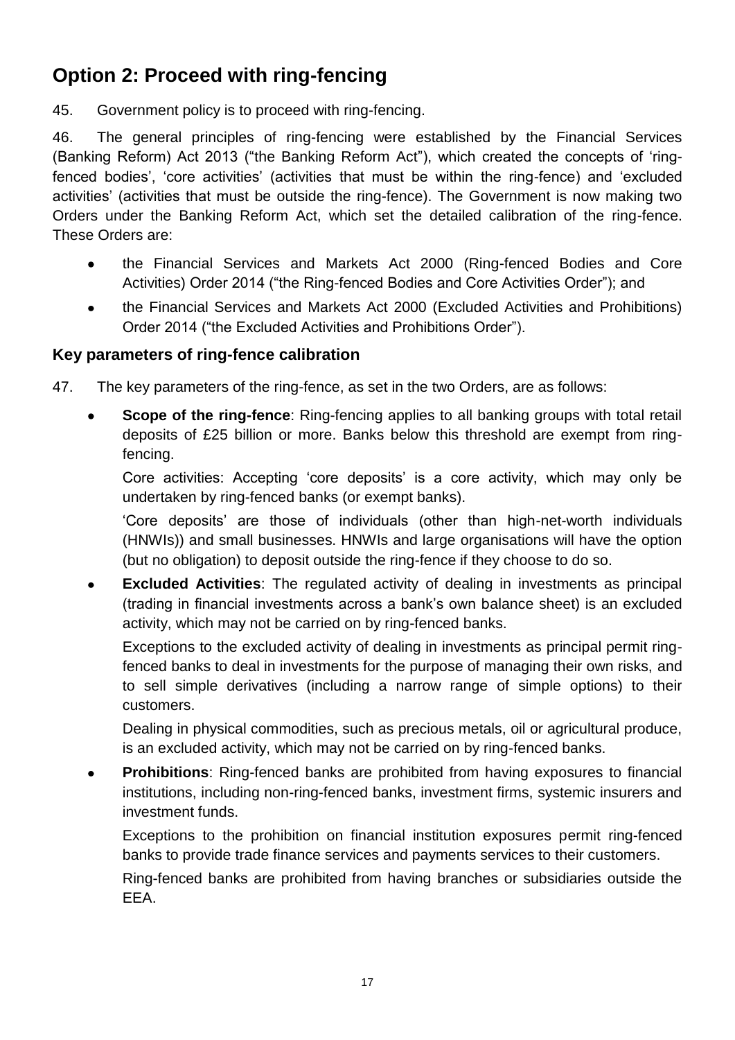# **Option 2: Proceed with ring-fencing**

45. Government policy is to proceed with ring-fencing.

46. The general principles of ring-fencing were established by the Financial Services (Banking Reform) Act 2013 ("the Banking Reform Act"), which created the concepts of 'ringfenced bodies', 'core activities' (activities that must be within the ring-fence) and 'excluded activities' (activities that must be outside the ring-fence). The Government is now making two Orders under the Banking Reform Act, which set the detailed calibration of the ring-fence. These Orders are:

- the Financial Services and Markets Act 2000 (Ring-fenced Bodies and Core Activities) Order 2014 ("the Ring-fenced Bodies and Core Activities Order"); and
- the Financial Services and Markets Act 2000 (Excluded Activities and Prohibitions)  $\bullet$ Order 2014 ("the Excluded Activities and Prohibitions Order").

# **Key parameters of ring-fence calibration**

- 47. The key parameters of the ring-fence, as set in the two Orders, are as follows:
	- **Scope of the ring-fence**: Ring-fencing applies to all banking groups with total retail deposits of £25 billion or more. Banks below this threshold are exempt from ringfencing.

Core activities: Accepting 'core deposits' is a core activity, which may only be undertaken by ring-fenced banks (or exempt banks).

'Core deposits' are those of individuals (other than high-net-worth individuals (HNWIs)) and small businesses. HNWIs and large organisations will have the option (but no obligation) to deposit outside the ring-fence if they choose to do so.

**Excluded Activities**: The regulated activity of dealing in investments as principal  $\bullet$ (trading in financial investments across a bank's own balance sheet) is an excluded activity, which may not be carried on by ring-fenced banks.

Exceptions to the excluded activity of dealing in investments as principal permit ringfenced banks to deal in investments for the purpose of managing their own risks, and to sell simple derivatives (including a narrow range of simple options) to their customers.

Dealing in physical commodities, such as precious metals, oil or agricultural produce, is an excluded activity, which may not be carried on by ring-fenced banks.

**Prohibitions**: Ring-fenced banks are prohibited from having exposures to financial  $\bullet$ institutions, including non-ring-fenced banks, investment firms, systemic insurers and investment funds.

Exceptions to the prohibition on financial institution exposures permit ring-fenced banks to provide trade finance services and payments services to their customers.

Ring-fenced banks are prohibited from having branches or subsidiaries outside the EEA.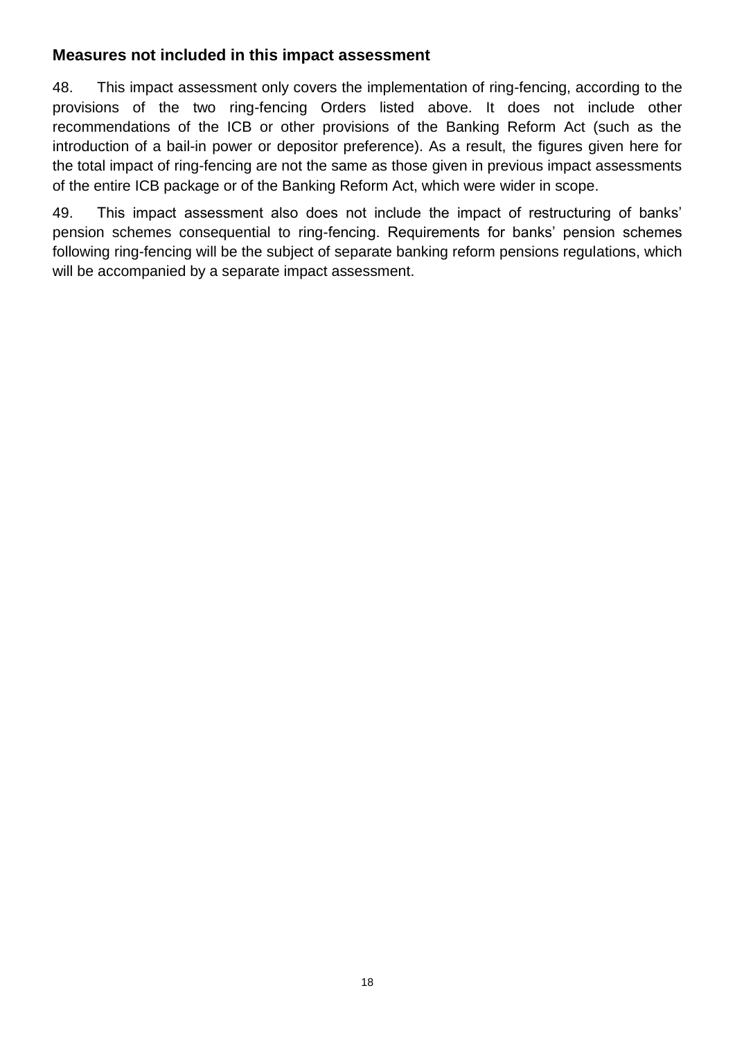### **Measures not included in this impact assessment**

48. This impact assessment only covers the implementation of ring-fencing, according to the provisions of the two ring-fencing Orders listed above. It does not include other recommendations of the ICB or other provisions of the Banking Reform Act (such as the introduction of a bail-in power or depositor preference). As a result, the figures given here for the total impact of ring-fencing are not the same as those given in previous impact assessments of the entire ICB package or of the Banking Reform Act, which were wider in scope.

49. This impact assessment also does not include the impact of restructuring of banks' pension schemes consequential to ring-fencing. Requirements for banks' pension schemes following ring-fencing will be the subject of separate banking reform pensions regulations, which will be accompanied by a separate impact assessment.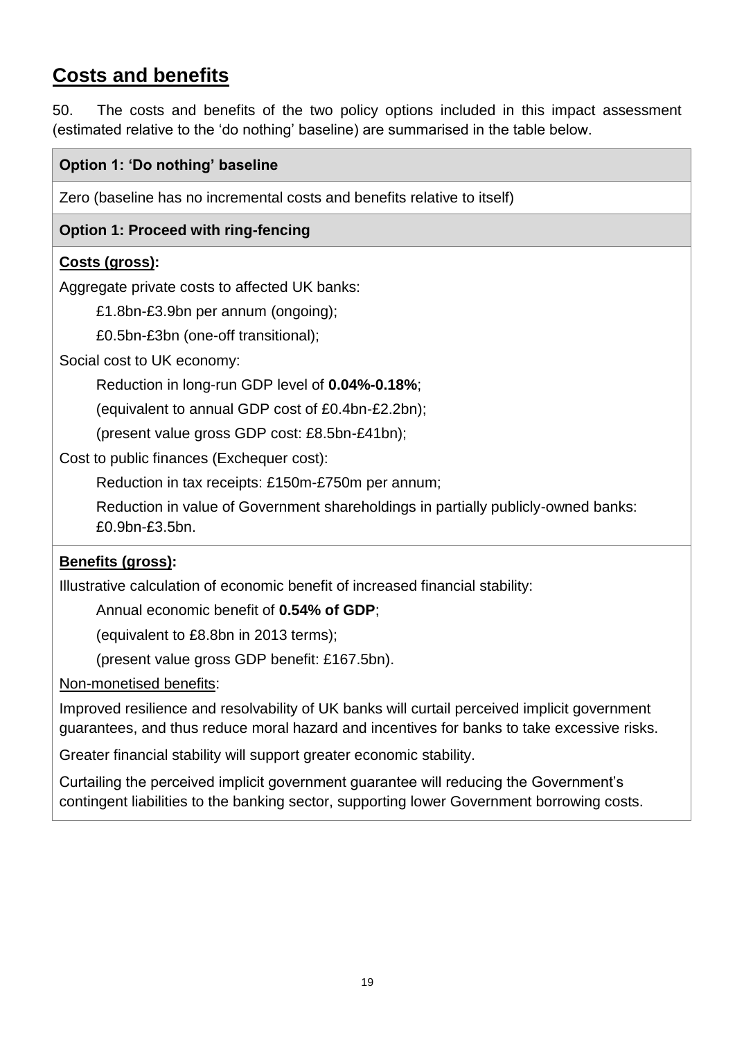# **Costs and benefits**

50. The costs and benefits of the two policy options included in this impact assessment (estimated relative to the 'do nothing' baseline) are summarised in the table below.

### **Option 1: 'Do nothing' baseline**

Zero (baseline has no incremental costs and benefits relative to itself)

### **Option 1: Proceed with ring-fencing**

### **Costs (gross):**

Aggregate private costs to affected UK banks:

£1.8bn-£3.9bn per annum (ongoing);

£0.5bn-£3bn (one-off transitional);

Social cost to UK economy:

Reduction in long-run GDP level of **0.04%-0.18%**;

(equivalent to annual GDP cost of £0.4bn-£2.2bn);

(present value gross GDP cost: £8.5bn-£41bn);

Cost to public finances (Exchequer cost):

Reduction in tax receipts: £150m-£750m per annum;

Reduction in value of Government shareholdings in partially publicly-owned banks: £0.9bn-£3.5bn.

### **Benefits (gross):**

Illustrative calculation of economic benefit of increased financial stability:

Annual economic benefit of **0.54% of GDP**;

(equivalent to £8.8bn in 2013 terms);

(present value gross GDP benefit: £167.5bn).

Non-monetised benefits:

Improved resilience and resolvability of UK banks will curtail perceived implicit government guarantees, and thus reduce moral hazard and incentives for banks to take excessive risks.

Greater financial stability will support greater economic stability.

Curtailing the perceived implicit government guarantee will reducing the Government's contingent liabilities to the banking sector, supporting lower Government borrowing costs.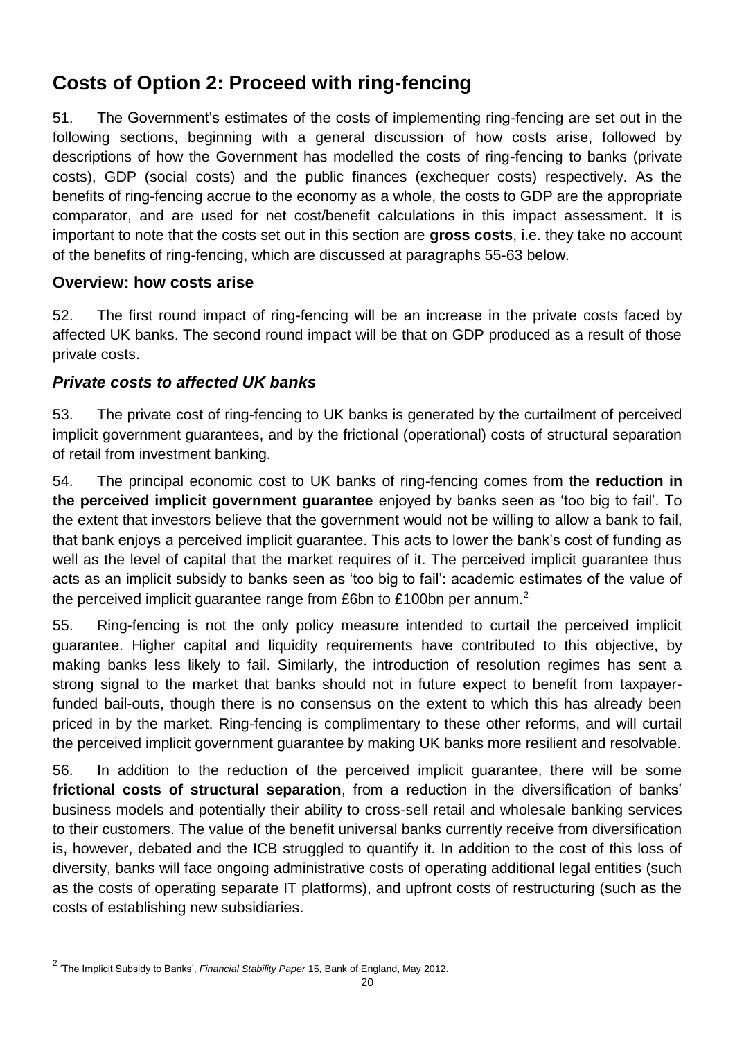# **Costs of Option 2: Proceed with ring-fencing**

51. The Government's estimates of the costs of implementing ring-fencing are set out in the following sections, beginning with a general discussion of how costs arise, followed by descriptions of how the Government has modelled the costs of ring-fencing to banks (private costs), GDP (social costs) and the public finances (exchequer costs) respectively. As the benefits of ring-fencing accrue to the economy as a whole, the costs to GDP are the appropriate comparator, and are used for net cost/benefit calculations in this impact assessment. It is important to note that the costs set out in this section are **gross costs**, i.e. they take no account of the benefits of ring-fencing, which are discussed at paragraphs 55-63 below.

### **Overview: how costs arise**

52. The first round impact of ring-fencing will be an increase in the private costs faced by affected UK banks. The second round impact will be that on GDP produced as a result of those private costs.

### *Private costs to affected UK banks*

53. The private cost of ring-fencing to UK banks is generated by the curtailment of perceived implicit government guarantees, and by the frictional (operational) costs of structural separation of retail from investment banking.

54. The principal economic cost to UK banks of ring-fencing comes from the **reduction in the perceived implicit government guarantee** enjoyed by banks seen as 'too big to fail'. To the extent that investors believe that the government would not be willing to allow a bank to fail, that bank enjoys a perceived implicit guarantee. This acts to lower the bank's cost of funding as well as the level of capital that the market requires of it. The perceived implicit guarantee thus acts as an implicit subsidy to banks seen as 'too big to fail': academic estimates of the value of the perceived implicit guarantee range from £6bn to £100bn per annum.<sup>2</sup>

55. Ring-fencing is not the only policy measure intended to curtail the perceived implicit guarantee. Higher capital and liquidity requirements have contributed to this objective, by making banks less likely to fail. Similarly, the introduction of resolution regimes has sent a strong signal to the market that banks should not in future expect to benefit from taxpayerfunded bail-outs, though there is no consensus on the extent to which this has already been priced in by the market. Ring-fencing is complimentary to these other reforms, and will curtail the perceived implicit government guarantee by making UK banks more resilient and resolvable.

56. In addition to the reduction of the perceived implicit guarantee, there will be some **frictional costs of structural separation**, from a reduction in the diversification of banks' business models and potentially their ability to cross-sell retail and wholesale banking services to their customers. The value of the benefit universal banks currently receive from diversification is, however, debated and the ICB struggled to quantify it. In addition to the cost of this loss of diversity, banks will face ongoing administrative costs of operating additional legal entities (such as the costs of operating separate IT platforms), and upfront costs of restructuring (such as the costs of establishing new subsidiaries.

l

<sup>2</sup> 'The Implicit Subsidy to Banks', *Financial Stability Paper* 15, Bank of England, May 2012.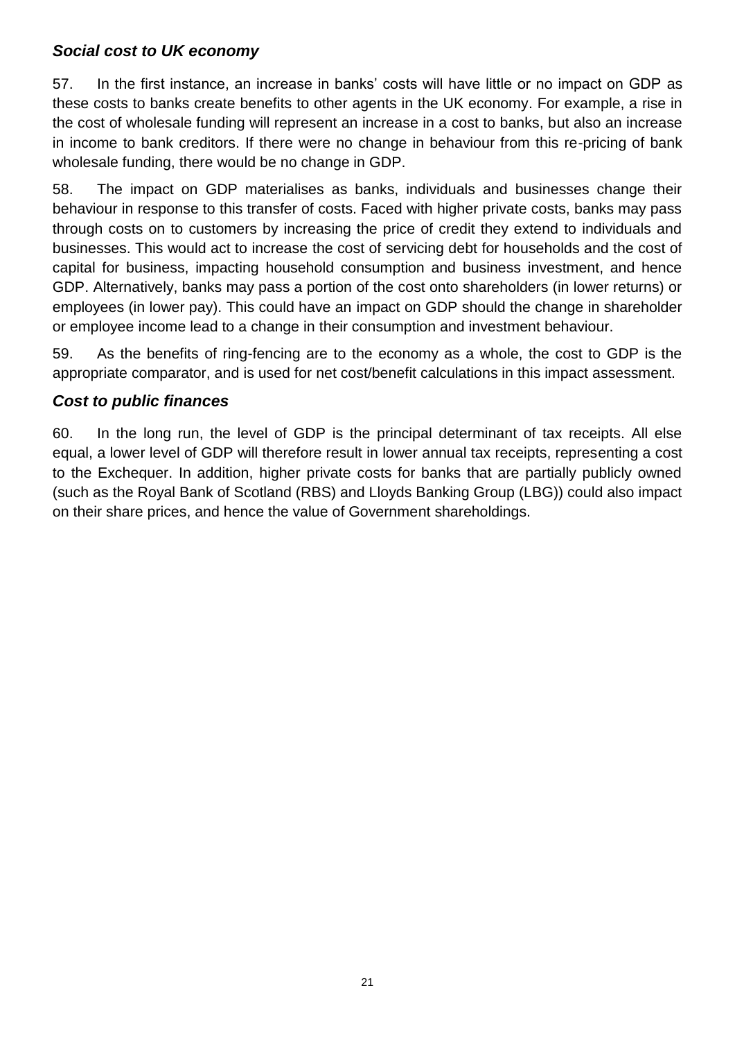### *Social cost to UK economy*

57. In the first instance, an increase in banks' costs will have little or no impact on GDP as these costs to banks create benefits to other agents in the UK economy. For example, a rise in the cost of wholesale funding will represent an increase in a cost to banks, but also an increase in income to bank creditors. If there were no change in behaviour from this re-pricing of bank wholesale funding, there would be no change in GDP.

58. The impact on GDP materialises as banks, individuals and businesses change their behaviour in response to this transfer of costs. Faced with higher private costs, banks may pass through costs on to customers by increasing the price of credit they extend to individuals and businesses. This would act to increase the cost of servicing debt for households and the cost of capital for business, impacting household consumption and business investment, and hence GDP. Alternatively, banks may pass a portion of the cost onto shareholders (in lower returns) or employees (in lower pay). This could have an impact on GDP should the change in shareholder or employee income lead to a change in their consumption and investment behaviour.

59. As the benefits of ring-fencing are to the economy as a whole, the cost to GDP is the appropriate comparator, and is used for net cost/benefit calculations in this impact assessment.

# *Cost to public finances*

60. In the long run, the level of GDP is the principal determinant of tax receipts. All else equal, a lower level of GDP will therefore result in lower annual tax receipts, representing a cost to the Exchequer. In addition, higher private costs for banks that are partially publicly owned (such as the Royal Bank of Scotland (RBS) and Lloyds Banking Group (LBG)) could also impact on their share prices, and hence the value of Government shareholdings.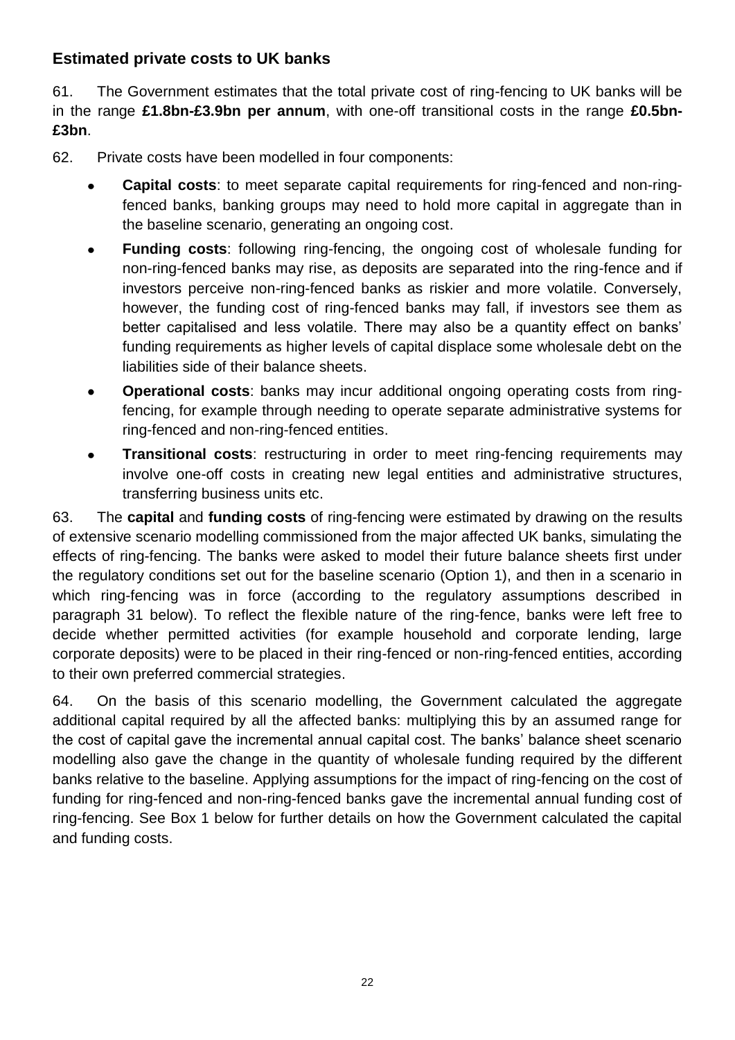# **Estimated private costs to UK banks**

61. The Government estimates that the total private cost of ring-fencing to UK banks will be in the range **£1.8bn-£3.9bn per annum**, with one-off transitional costs in the range **£0.5bn- £3bn**.

- 62. Private costs have been modelled in four components:
	- **Capital costs**: to meet separate capital requirements for ring-fenced and non-ringfenced banks, banking groups may need to hold more capital in aggregate than in the baseline scenario, generating an ongoing cost.
	- **Funding costs**: following ring-fencing, the ongoing cost of wholesale funding for  $\bullet$ non-ring-fenced banks may rise, as deposits are separated into the ring-fence and if investors perceive non-ring-fenced banks as riskier and more volatile. Conversely, however, the funding cost of ring-fenced banks may fall, if investors see them as better capitalised and less volatile. There may also be a quantity effect on banks' funding requirements as higher levels of capital displace some wholesale debt on the liabilities side of their balance sheets.
	- **Operational costs**: banks may incur additional ongoing operating costs from ringfencing, for example through needing to operate separate administrative systems for ring-fenced and non-ring-fenced entities.
	- **Transitional costs**: restructuring in order to meet ring-fencing requirements may involve one-off costs in creating new legal entities and administrative structures, transferring business units etc.

63. The **capital** and **funding costs** of ring-fencing were estimated by drawing on the results of extensive scenario modelling commissioned from the major affected UK banks, simulating the effects of ring-fencing. The banks were asked to model their future balance sheets first under the regulatory conditions set out for the baseline scenario (Option 1), and then in a scenario in which ring-fencing was in force (according to the regulatory assumptions described in paragraph 31 below). To reflect the flexible nature of the ring-fence, banks were left free to decide whether permitted activities (for example household and corporate lending, large corporate deposits) were to be placed in their ring-fenced or non-ring-fenced entities, according to their own preferred commercial strategies.

64. On the basis of this scenario modelling, the Government calculated the aggregate additional capital required by all the affected banks: multiplying this by an assumed range for the cost of capital gave the incremental annual capital cost. The banks' balance sheet scenario modelling also gave the change in the quantity of wholesale funding required by the different banks relative to the baseline. Applying assumptions for the impact of ring-fencing on the cost of funding for ring-fenced and non-ring-fenced banks gave the incremental annual funding cost of ring-fencing. See Box 1 below for further details on how the Government calculated the capital and funding costs.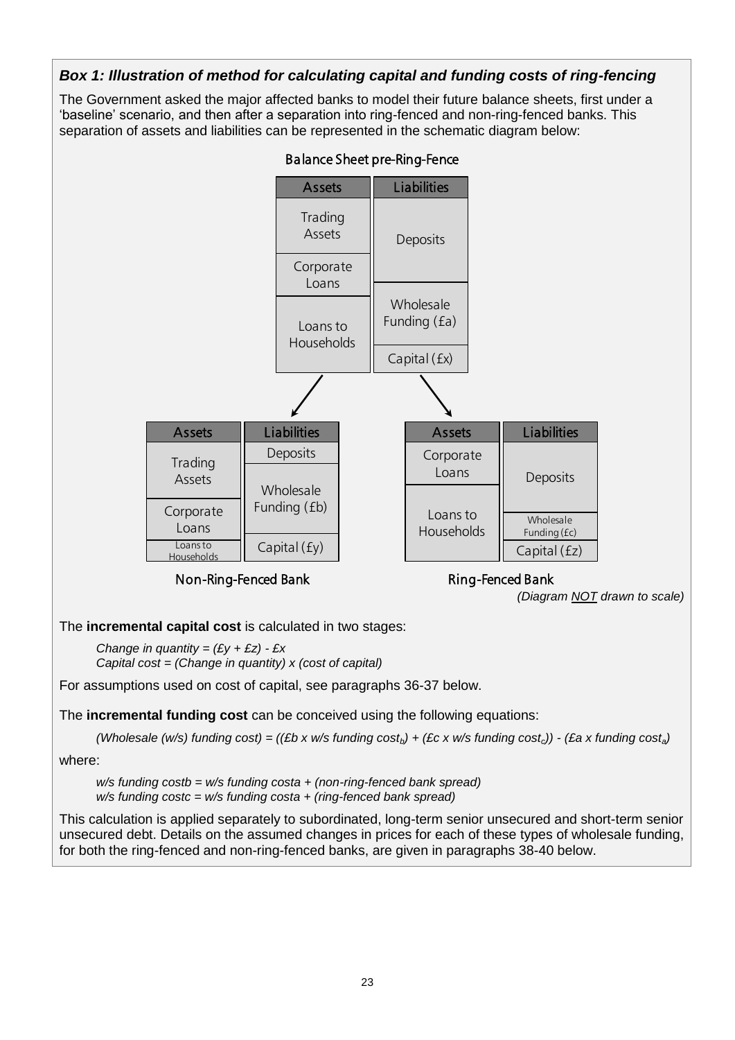

23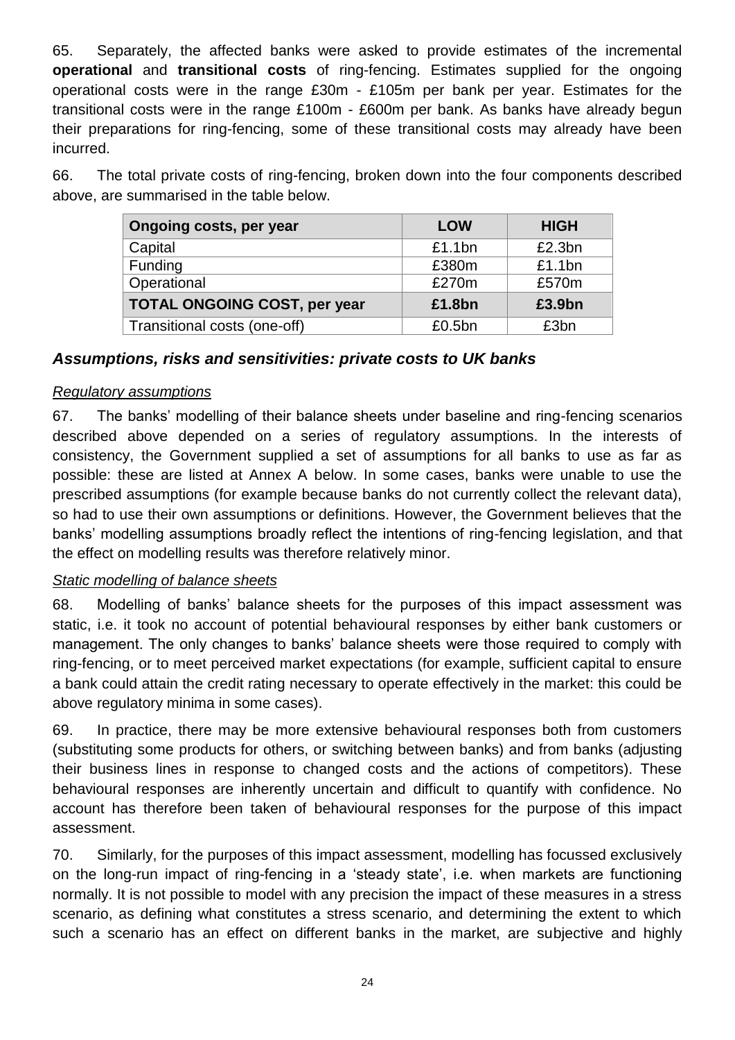65. Separately, the affected banks were asked to provide estimates of the incremental **operational** and **transitional costs** of ring-fencing. Estimates supplied for the ongoing operational costs were in the range £30m - £105m per bank per year. Estimates for the transitional costs were in the range £100m - £600m per bank. As banks have already begun their preparations for ring-fencing, some of these transitional costs may already have been incurred.

66. The total private costs of ring-fencing, broken down into the four components described above, are summarised in the table below.

| Ongoing costs, per year             | <b>LOW</b> | <b>HIGH</b> |
|-------------------------------------|------------|-------------|
| Capital                             | £1.1bn     | £2.3bn      |
| <b>Funding</b>                      | £380m      | £1.1bn      |
| Operational                         | £270m      | £570m       |
| <b>TOTAL ONGOING COST, per year</b> | £1.8bn     | £3.9bn      |
| Transitional costs (one-off)        | $£0.5$ bn  | £3bn        |

### *Assumptions, risks and sensitivities: private costs to UK banks*

### *Regulatory assumptions*

67. The banks' modelling of their balance sheets under baseline and ring-fencing scenarios described above depended on a series of regulatory assumptions. In the interests of consistency, the Government supplied a set of assumptions for all banks to use as far as possible: these are listed at Annex A below. In some cases, banks were unable to use the prescribed assumptions (for example because banks do not currently collect the relevant data), so had to use their own assumptions or definitions. However, the Government believes that the banks' modelling assumptions broadly reflect the intentions of ring-fencing legislation, and that the effect on modelling results was therefore relatively minor.

### *Static modelling of balance sheets*

68. Modelling of banks' balance sheets for the purposes of this impact assessment was static, i.e. it took no account of potential behavioural responses by either bank customers or management. The only changes to banks' balance sheets were those required to comply with ring-fencing, or to meet perceived market expectations (for example, sufficient capital to ensure a bank could attain the credit rating necessary to operate effectively in the market: this could be above regulatory minima in some cases).

69. In practice, there may be more extensive behavioural responses both from customers (substituting some products for others, or switching between banks) and from banks (adjusting their business lines in response to changed costs and the actions of competitors). These behavioural responses are inherently uncertain and difficult to quantify with confidence. No account has therefore been taken of behavioural responses for the purpose of this impact assessment.

70. Similarly, for the purposes of this impact assessment, modelling has focussed exclusively on the long-run impact of ring-fencing in a 'steady state', i.e. when markets are functioning normally. It is not possible to model with any precision the impact of these measures in a stress scenario, as defining what constitutes a stress scenario, and determining the extent to which such a scenario has an effect on different banks in the market, are subjective and highly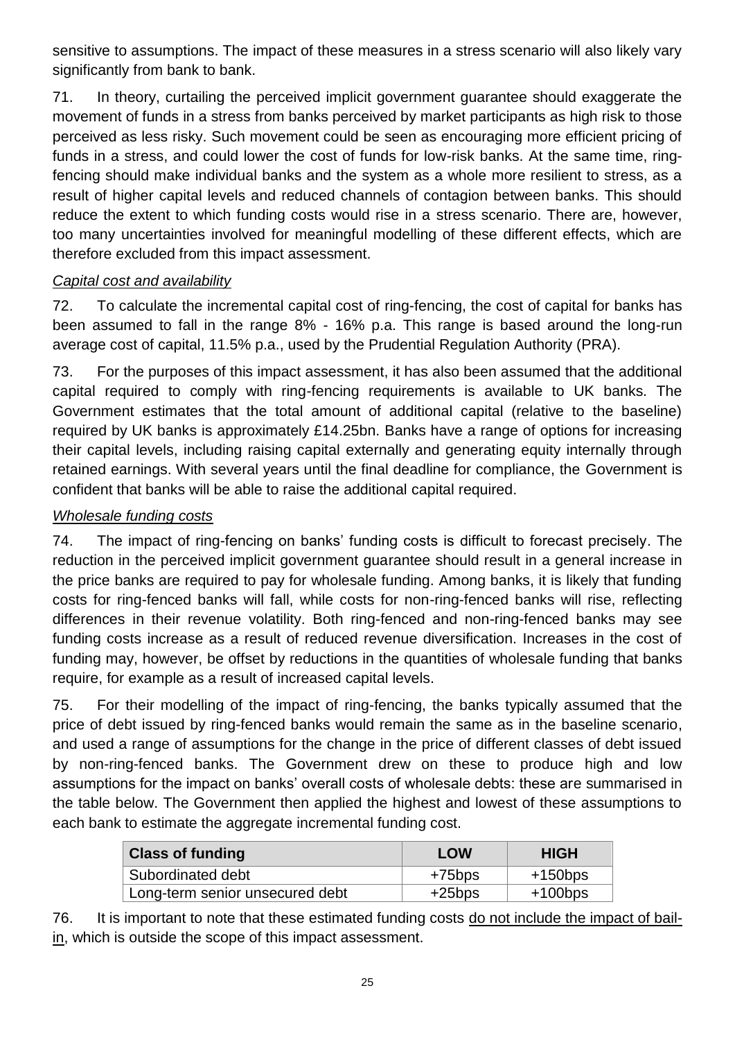sensitive to assumptions. The impact of these measures in a stress scenario will also likely vary significantly from bank to bank.

71. In theory, curtailing the perceived implicit government guarantee should exaggerate the movement of funds in a stress from banks perceived by market participants as high risk to those perceived as less risky. Such movement could be seen as encouraging more efficient pricing of funds in a stress, and could lower the cost of funds for low-risk banks. At the same time, ringfencing should make individual banks and the system as a whole more resilient to stress, as a result of higher capital levels and reduced channels of contagion between banks. This should reduce the extent to which funding costs would rise in a stress scenario. There are, however, too many uncertainties involved for meaningful modelling of these different effects, which are therefore excluded from this impact assessment.

### *Capital cost and availability*

72. To calculate the incremental capital cost of ring-fencing, the cost of capital for banks has been assumed to fall in the range 8% - 16% p.a. This range is based around the long-run average cost of capital, 11.5% p.a., used by the Prudential Regulation Authority (PRA).

73. For the purposes of this impact assessment, it has also been assumed that the additional capital required to comply with ring-fencing requirements is available to UK banks. The Government estimates that the total amount of additional capital (relative to the baseline) required by UK banks is approximately £14.25bn. Banks have a range of options for increasing their capital levels, including raising capital externally and generating equity internally through retained earnings. With several years until the final deadline for compliance, the Government is confident that banks will be able to raise the additional capital required.

# *Wholesale funding costs*

74. The impact of ring-fencing on banks' funding costs is difficult to forecast precisely. The reduction in the perceived implicit government guarantee should result in a general increase in the price banks are required to pay for wholesale funding. Among banks, it is likely that funding costs for ring-fenced banks will fall, while costs for non-ring-fenced banks will rise, reflecting differences in their revenue volatility. Both ring-fenced and non-ring-fenced banks may see funding costs increase as a result of reduced revenue diversification. Increases in the cost of funding may, however, be offset by reductions in the quantities of wholesale funding that banks require, for example as a result of increased capital levels.

75. For their modelling of the impact of ring-fencing, the banks typically assumed that the price of debt issued by ring-fenced banks would remain the same as in the baseline scenario, and used a range of assumptions for the change in the price of different classes of debt issued by non-ring-fenced banks. The Government drew on these to produce high and low assumptions for the impact on banks' overall costs of wholesale debts: these are summarised in the table below. The Government then applied the highest and lowest of these assumptions to each bank to estimate the aggregate incremental funding cost.

| <b>Class of funding</b>         | LOW       | <b>HIGH</b> |
|---------------------------------|-----------|-------------|
| Subordinated debt               | +75bps    | $+150$ bps  |
| Long-term senior unsecured debt | $+25$ bps | $+100$ bps  |

76. It is important to note that these estimated funding costs do not include the impact of bailin, which is outside the scope of this impact assessment.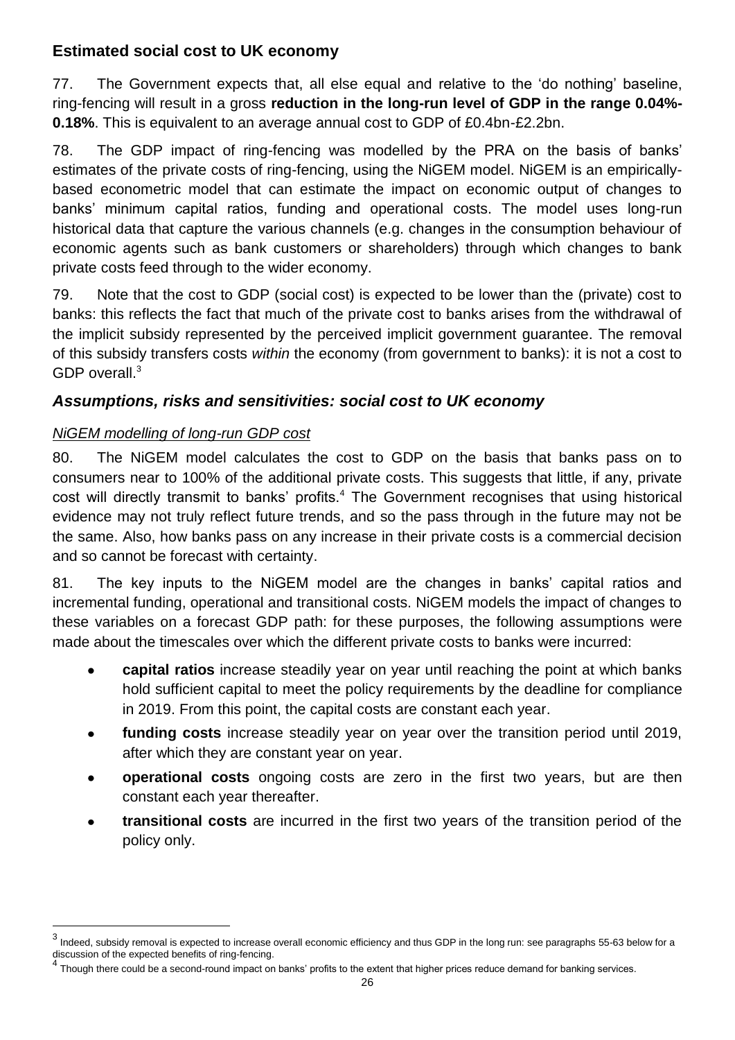# **Estimated social cost to UK economy**

77. The Government expects that, all else equal and relative to the 'do nothing' baseline, ring-fencing will result in a gross **reduction in the long-run level of GDP in the range 0.04%- 0.18%**. This is equivalent to an average annual cost to GDP of £0.4bn-£2.2bn.

78. The GDP impact of ring-fencing was modelled by the PRA on the basis of banks' estimates of the private costs of ring-fencing, using the NiGEM model. NiGEM is an empiricallybased econometric model that can estimate the impact on economic output of changes to banks' minimum capital ratios, funding and operational costs. The model uses long-run historical data that capture the various channels (e.g. changes in the consumption behaviour of economic agents such as bank customers or shareholders) through which changes to bank private costs feed through to the wider economy.

79. Note that the cost to GDP (social cost) is expected to be lower than the (private) cost to banks: this reflects the fact that much of the private cost to banks arises from the withdrawal of the implicit subsidy represented by the perceived implicit government guarantee. The removal of this subsidy transfers costs *within* the economy (from government to banks): it is not a cost to GDP overall.<sup>3</sup>

# *Assumptions, risks and sensitivities: social cost to UK economy*

### *NiGEM modelling of long-run GDP cost*

 $\overline{a}$ 

80. The NiGEM model calculates the cost to GDP on the basis that banks pass on to consumers near to 100% of the additional private costs. This suggests that little, if any, private cost will directly transmit to banks' profits.<sup>4</sup> The Government recognises that using historical evidence may not truly reflect future trends, and so the pass through in the future may not be the same. Also, how banks pass on any increase in their private costs is a commercial decision and so cannot be forecast with certainty.

81. The key inputs to the NiGEM model are the changes in banks' capital ratios and incremental funding, operational and transitional costs. NiGEM models the impact of changes to these variables on a forecast GDP path: for these purposes, the following assumptions were made about the timescales over which the different private costs to banks were incurred:

- **capital ratios** increase steadily year on year until reaching the point at which banks hold sufficient capital to meet the policy requirements by the deadline for compliance in 2019. From this point, the capital costs are constant each year.
- **funding costs** increase steadily year on year over the transition period until 2019,  $\bullet$ after which they are constant year on year.
- **operational costs** ongoing costs are zero in the first two years, but are then constant each year thereafter.
- **transitional costs** are incurred in the first two years of the transition period of the policy only.

 $^3$  Indeed, subsidy removal is expected to increase overall economic efficiency and thus GDP in the long run: see paragraphs 55-63 below for a discussion of the expected benefits of ring-fencing.

<sup>&</sup>lt;sup>4</sup> Though there could be a second-round impact on banks' profits to the extent that higher prices reduce demand for banking services.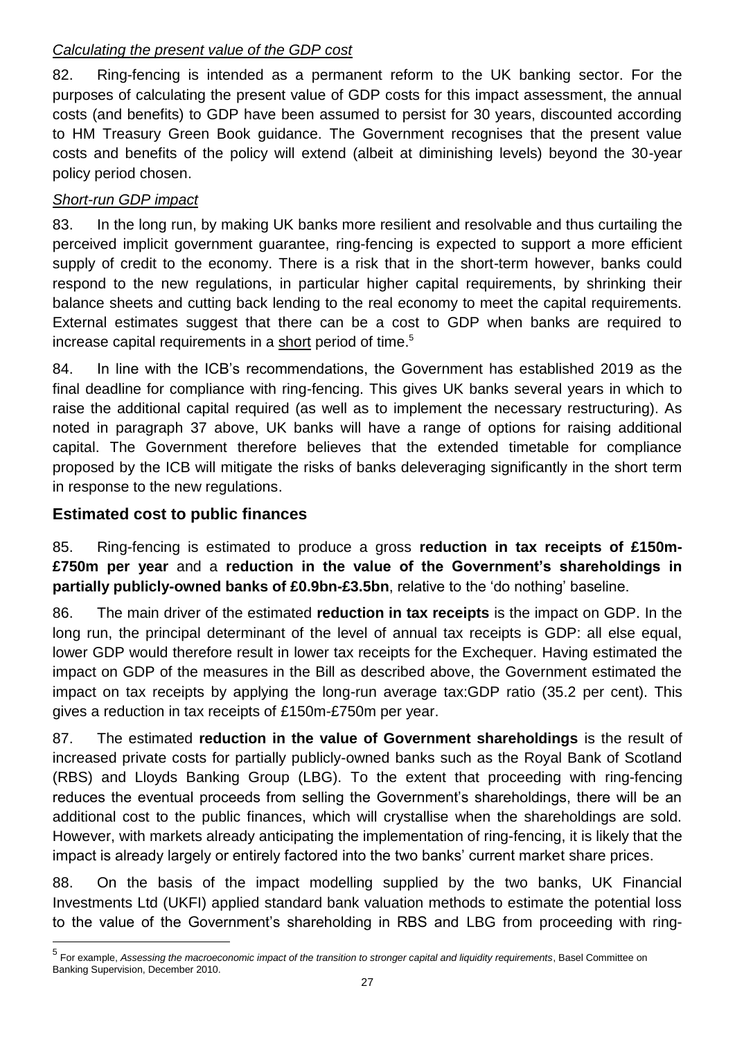### *Calculating the present value of the GDP cost*

82. Ring-fencing is intended as a permanent reform to the UK banking sector. For the purposes of calculating the present value of GDP costs for this impact assessment, the annual costs (and benefits) to GDP have been assumed to persist for 30 years, discounted according to HM Treasury Green Book guidance. The Government recognises that the present value costs and benefits of the policy will extend (albeit at diminishing levels) beyond the 30-year policy period chosen.

# *Short-run GDP impact*

83. In the long run, by making UK banks more resilient and resolvable and thus curtailing the perceived implicit government guarantee, ring-fencing is expected to support a more efficient supply of credit to the economy. There is a risk that in the short-term however, banks could respond to the new regulations, in particular higher capital requirements, by shrinking their balance sheets and cutting back lending to the real economy to meet the capital requirements. External estimates suggest that there can be a cost to GDP when banks are required to increase capital requirements in a short period of time.<sup>5</sup>

84. In line with the ICB's recommendations, the Government has established 2019 as the final deadline for compliance with ring-fencing. This gives UK banks several years in which to raise the additional capital required (as well as to implement the necessary restructuring). As noted in paragraph 37 above, UK banks will have a range of options for raising additional capital. The Government therefore believes that the extended timetable for compliance proposed by the ICB will mitigate the risks of banks deleveraging significantly in the short term in response to the new regulations.

# **Estimated cost to public finances**

l

85. Ring-fencing is estimated to produce a gross **reduction in tax receipts of £150m- £750m per year** and a **reduction in the value of the Government's shareholdings in partially publicly-owned banks of £0.9bn-£3.5bn**, relative to the 'do nothing' baseline.

86. The main driver of the estimated **reduction in tax receipts** is the impact on GDP. In the long run, the principal determinant of the level of annual tax receipts is GDP: all else equal, lower GDP would therefore result in lower tax receipts for the Exchequer. Having estimated the impact on GDP of the measures in the Bill as described above, the Government estimated the impact on tax receipts by applying the long-run average tax:GDP ratio (35.2 per cent). This gives a reduction in tax receipts of £150m-£750m per year.

87. The estimated **reduction in the value of Government shareholdings** is the result of increased private costs for partially publicly-owned banks such as the Royal Bank of Scotland (RBS) and Lloyds Banking Group (LBG). To the extent that proceeding with ring-fencing reduces the eventual proceeds from selling the Government's shareholdings, there will be an additional cost to the public finances, which will crystallise when the shareholdings are sold. However, with markets already anticipating the implementation of ring-fencing, it is likely that the impact is already largely or entirely factored into the two banks' current market share prices.

88. On the basis of the impact modelling supplied by the two banks, UK Financial Investments Ltd (UKFI) applied standard bank valuation methods to estimate the potential loss to the value of the Government's shareholding in RBS and LBG from proceeding with ring-

<sup>5</sup> For example, *Assessing the macroeconomic impact of the transition to stronger capital and liquidity requirements*, Basel Committee on Banking Supervision, December 2010.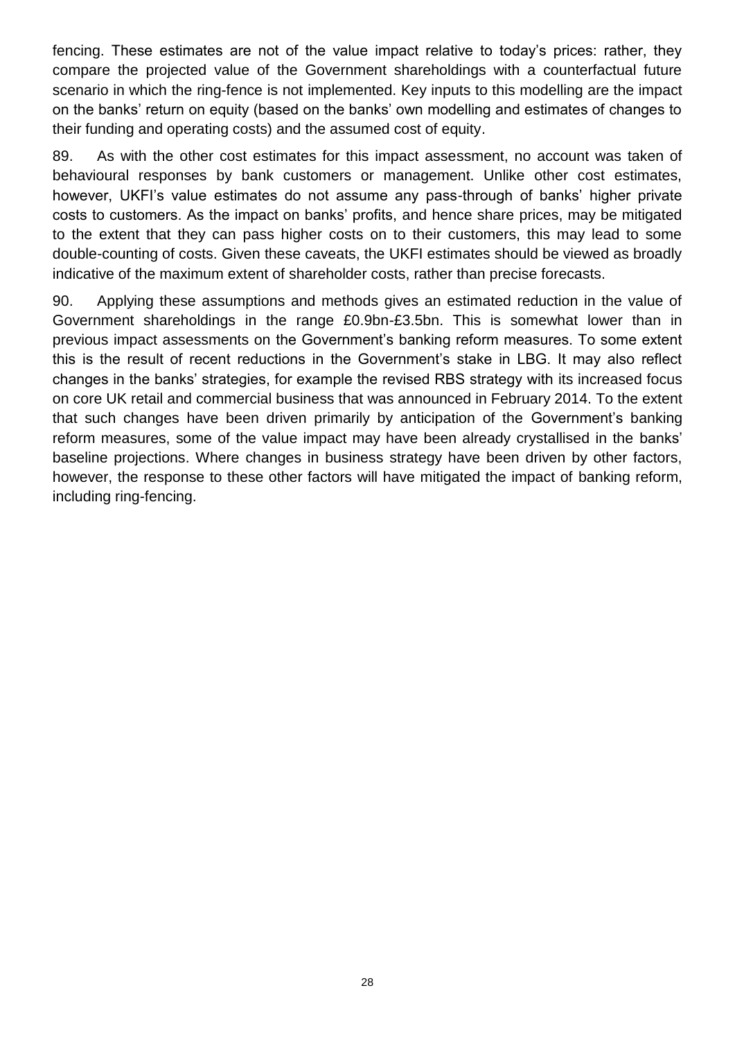fencing. These estimates are not of the value impact relative to today's prices: rather, they compare the projected value of the Government shareholdings with a counterfactual future scenario in which the ring-fence is not implemented. Key inputs to this modelling are the impact on the banks' return on equity (based on the banks' own modelling and estimates of changes to their funding and operating costs) and the assumed cost of equity.

89. As with the other cost estimates for this impact assessment, no account was taken of behavioural responses by bank customers or management. Unlike other cost estimates, however, UKFI's value estimates do not assume any pass-through of banks' higher private costs to customers. As the impact on banks' profits, and hence share prices, may be mitigated to the extent that they can pass higher costs on to their customers, this may lead to some double-counting of costs. Given these caveats, the UKFI estimates should be viewed as broadly indicative of the maximum extent of shareholder costs, rather than precise forecasts.

90. Applying these assumptions and methods gives an estimated reduction in the value of Government shareholdings in the range £0.9bn-£3.5bn. This is somewhat lower than in previous impact assessments on the Government's banking reform measures. To some extent this is the result of recent reductions in the Government's stake in LBG. It may also reflect changes in the banks' strategies, for example the revised RBS strategy with its increased focus on core UK retail and commercial business that was announced in February 2014. To the extent that such changes have been driven primarily by anticipation of the Government's banking reform measures, some of the value impact may have been already crystallised in the banks' baseline projections. Where changes in business strategy have been driven by other factors, however, the response to these other factors will have mitigated the impact of banking reform, including ring-fencing.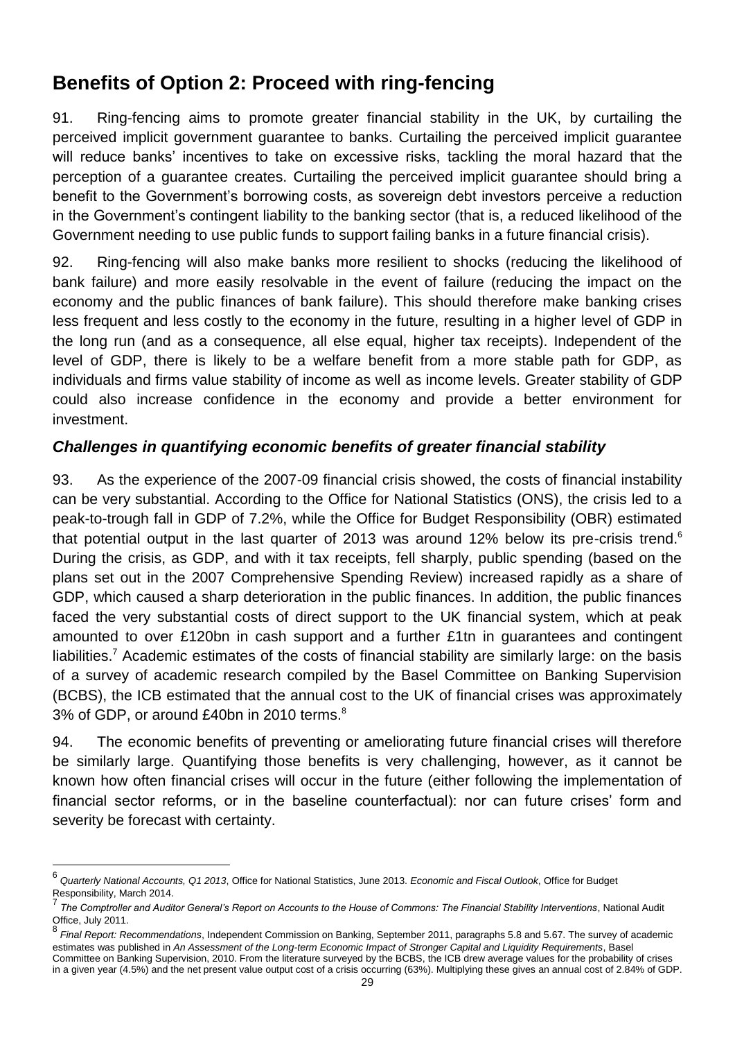# **Benefits of Option 2: Proceed with ring-fencing**

91. Ring-fencing aims to promote greater financial stability in the UK, by curtailing the perceived implicit government guarantee to banks. Curtailing the perceived implicit guarantee will reduce banks' incentives to take on excessive risks, tackling the moral hazard that the perception of a guarantee creates. Curtailing the perceived implicit guarantee should bring a benefit to the Government's borrowing costs, as sovereign debt investors perceive a reduction in the Government's contingent liability to the banking sector (that is, a reduced likelihood of the Government needing to use public funds to support failing banks in a future financial crisis).

92. Ring-fencing will also make banks more resilient to shocks (reducing the likelihood of bank failure) and more easily resolvable in the event of failure (reducing the impact on the economy and the public finances of bank failure). This should therefore make banking crises less frequent and less costly to the economy in the future, resulting in a higher level of GDP in the long run (and as a consequence, all else equal, higher tax receipts). Independent of the level of GDP, there is likely to be a welfare benefit from a more stable path for GDP, as individuals and firms value stability of income as well as income levels. Greater stability of GDP could also increase confidence in the economy and provide a better environment for investment.

# *Challenges in quantifying economic benefits of greater financial stability*

93. As the experience of the 2007-09 financial crisis showed, the costs of financial instability can be very substantial. According to the Office for National Statistics (ONS), the crisis led to a peak-to-trough fall in GDP of 7.2%, while the Office for Budget Responsibility (OBR) estimated that potential output in the last quarter of 2013 was around 12% below its pre-crisis trend.<sup>6</sup> During the crisis, as GDP, and with it tax receipts, fell sharply, public spending (based on the plans set out in the 2007 Comprehensive Spending Review) increased rapidly as a share of GDP, which caused a sharp deterioration in the public finances. In addition, the public finances faced the very substantial costs of direct support to the UK financial system, which at peak amounted to over £120bn in cash support and a further £1tn in guarantees and contingent liabilities.<sup>7</sup> Academic estimates of the costs of financial stability are similarly large: on the basis of a survey of academic research compiled by the Basel Committee on Banking Supervision (BCBS), the ICB estimated that the annual cost to the UK of financial crises was approximately 3% of GDP, or around £40bn in 2010 terms.<sup>8</sup>

94. The economic benefits of preventing or ameliorating future financial crises will therefore be similarly large. Quantifying those benefits is very challenging, however, as it cannot be known how often financial crises will occur in the future (either following the implementation of financial sector reforms, or in the baseline counterfactual): nor can future crises' form and severity be forecast with certainty.

 $\overline{a}$ 

<sup>6</sup> *Quarterly National Accounts, Q1 2013*, Office for National Statistics, June 2013. *Economic and Fiscal Outlook*, Office for Budget Responsibility, March 2014.

<sup>7</sup> *The Comptroller and Auditor General's Report on Accounts to the House of Commons: The Financial Stability Interventions*, National Audit Office, July 2011.

<sup>&</sup>lt;sup>8</sup> Final Report: Recommendations, Independent Commission on Banking, September 2011, paragraphs 5.8 and 5.67. The survey of academic estimates was published in *An Assessment of the Long-term Economic Impact of Stronger Capital and Liquidity Requirements*, Basel Committee on Banking Supervision, 2010. From the literature surveyed by the BCBS, the ICB drew average values for the probability of crises in a given year (4.5%) and the net present value output cost of a crisis occurring (63%). Multiplying these gives an annual cost of 2.84% of GDP.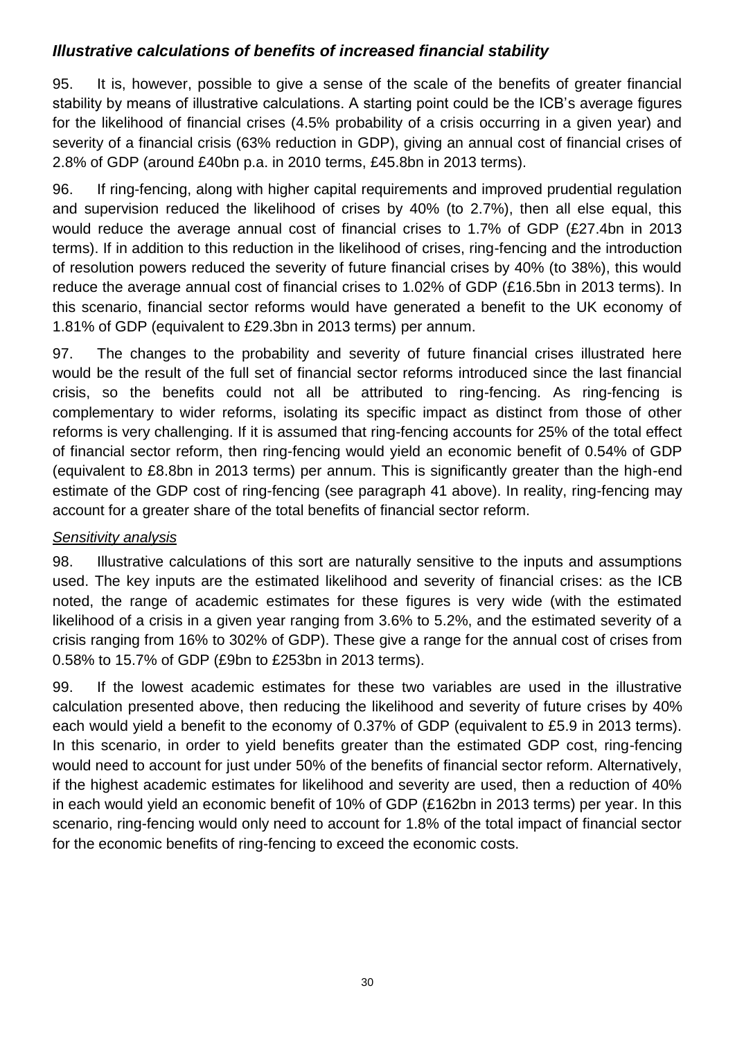# *Illustrative calculations of benefits of increased financial stability*

95. It is, however, possible to give a sense of the scale of the benefits of greater financial stability by means of illustrative calculations. A starting point could be the ICB's average figures for the likelihood of financial crises (4.5% probability of a crisis occurring in a given year) and severity of a financial crisis (63% reduction in GDP), giving an annual cost of financial crises of 2.8% of GDP (around £40bn p.a. in 2010 terms, £45.8bn in 2013 terms).

96. If ring-fencing, along with higher capital requirements and improved prudential regulation and supervision reduced the likelihood of crises by 40% (to 2.7%), then all else equal, this would reduce the average annual cost of financial crises to 1.7% of GDP (£27.4bn in 2013 terms). If in addition to this reduction in the likelihood of crises, ring-fencing and the introduction of resolution powers reduced the severity of future financial crises by 40% (to 38%), this would reduce the average annual cost of financial crises to 1.02% of GDP (£16.5bn in 2013 terms). In this scenario, financial sector reforms would have generated a benefit to the UK economy of 1.81% of GDP (equivalent to £29.3bn in 2013 terms) per annum.

97. The changes to the probability and severity of future financial crises illustrated here would be the result of the full set of financial sector reforms introduced since the last financial crisis, so the benefits could not all be attributed to ring-fencing. As ring-fencing is complementary to wider reforms, isolating its specific impact as distinct from those of other reforms is very challenging. If it is assumed that ring-fencing accounts for 25% of the total effect of financial sector reform, then ring-fencing would yield an economic benefit of 0.54% of GDP (equivalent to £8.8bn in 2013 terms) per annum. This is significantly greater than the high-end estimate of the GDP cost of ring-fencing (see paragraph 41 above). In reality, ring-fencing may account for a greater share of the total benefits of financial sector reform.

### *Sensitivity analysis*

98. Illustrative calculations of this sort are naturally sensitive to the inputs and assumptions used. The key inputs are the estimated likelihood and severity of financial crises: as the ICB noted, the range of academic estimates for these figures is very wide (with the estimated likelihood of a crisis in a given year ranging from 3.6% to 5.2%, and the estimated severity of a crisis ranging from 16% to 302% of GDP). These give a range for the annual cost of crises from 0.58% to 15.7% of GDP (£9bn to £253bn in 2013 terms).

99. If the lowest academic estimates for these two variables are used in the illustrative calculation presented above, then reducing the likelihood and severity of future crises by 40% each would yield a benefit to the economy of 0.37% of GDP (equivalent to £5.9 in 2013 terms). In this scenario, in order to yield benefits greater than the estimated GDP cost, ring-fencing would need to account for just under 50% of the benefits of financial sector reform. Alternatively, if the highest academic estimates for likelihood and severity are used, then a reduction of 40% in each would yield an economic benefit of 10% of GDP (£162bn in 2013 terms) per year. In this scenario, ring-fencing would only need to account for 1.8% of the total impact of financial sector for the economic benefits of ring-fencing to exceed the economic costs.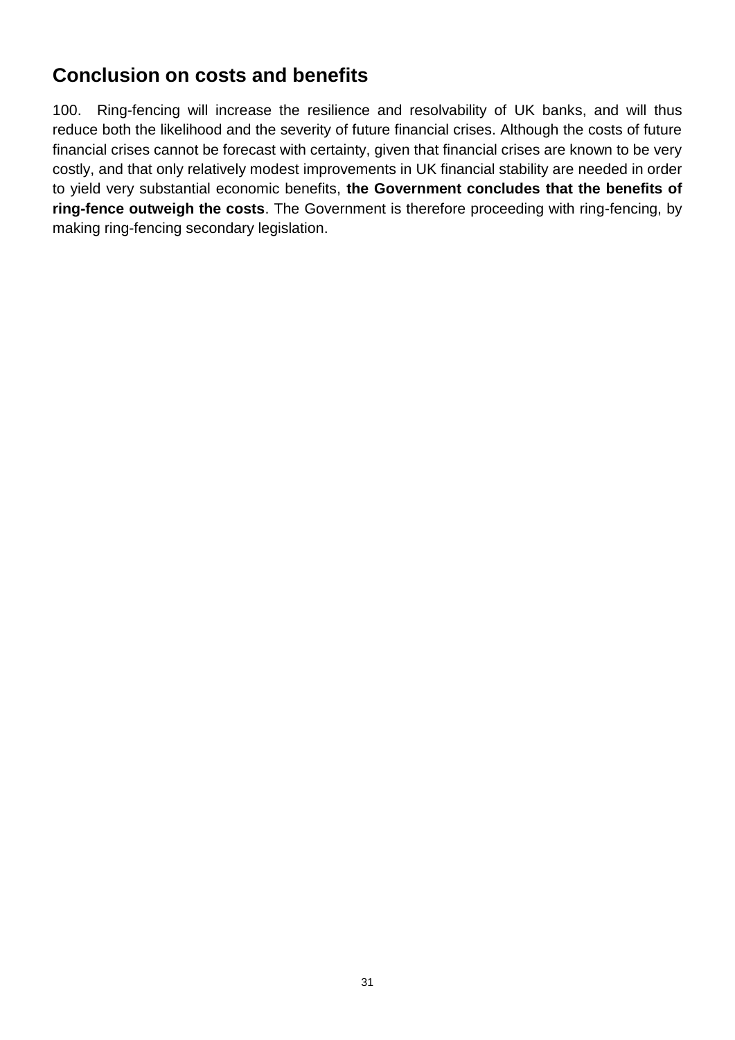# **Conclusion on costs and benefits**

100. Ring-fencing will increase the resilience and resolvability of UK banks, and will thus reduce both the likelihood and the severity of future financial crises. Although the costs of future financial crises cannot be forecast with certainty, given that financial crises are known to be very costly, and that only relatively modest improvements in UK financial stability are needed in order to yield very substantial economic benefits, **the Government concludes that the benefits of ring-fence outweigh the costs**. The Government is therefore proceeding with ring-fencing, by making ring-fencing secondary legislation.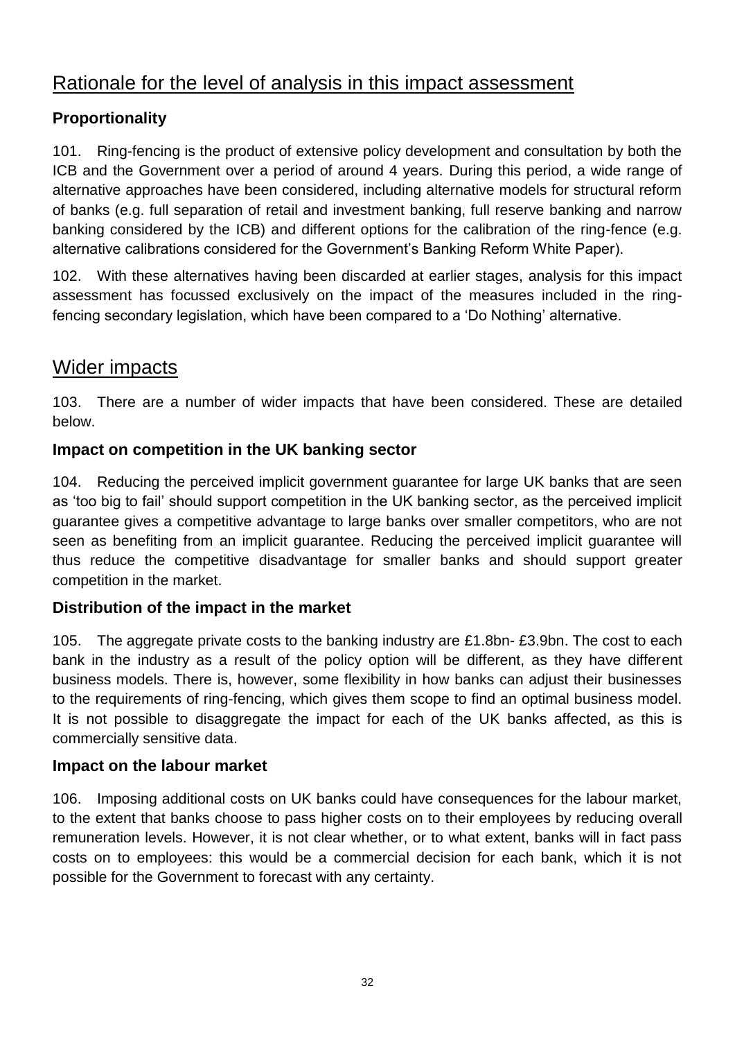# Rationale for the level of analysis in this impact assessment

# **Proportionality**

101. Ring-fencing is the product of extensive policy development and consultation by both the ICB and the Government over a period of around 4 years. During this period, a wide range of alternative approaches have been considered, including alternative models for structural reform of banks (e.g. full separation of retail and investment banking, full reserve banking and narrow banking considered by the ICB) and different options for the calibration of the ring-fence (e.g. alternative calibrations considered for the Government's Banking Reform White Paper).

102. With these alternatives having been discarded at earlier stages, analysis for this impact assessment has focussed exclusively on the impact of the measures included in the ringfencing secondary legislation, which have been compared to a 'Do Nothing' alternative.

# Wider impacts

103. There are a number of wider impacts that have been considered. These are detailed below.

# **Impact on competition in the UK banking sector**

104. Reducing the perceived implicit government guarantee for large UK banks that are seen as 'too big to fail' should support competition in the UK banking sector, as the perceived implicit guarantee gives a competitive advantage to large banks over smaller competitors, who are not seen as benefiting from an implicit guarantee. Reducing the perceived implicit guarantee will thus reduce the competitive disadvantage for smaller banks and should support greater competition in the market.

### **Distribution of the impact in the market**

105. The aggregate private costs to the banking industry are £1.8bn- £3.9bn. The cost to each bank in the industry as a result of the policy option will be different, as they have different business models. There is, however, some flexibility in how banks can adjust their businesses to the requirements of ring-fencing, which gives them scope to find an optimal business model. It is not possible to disaggregate the impact for each of the UK banks affected, as this is commercially sensitive data.

### **Impact on the labour market**

106. Imposing additional costs on UK banks could have consequences for the labour market, to the extent that banks choose to pass higher costs on to their employees by reducing overall remuneration levels. However, it is not clear whether, or to what extent, banks will in fact pass costs on to employees: this would be a commercial decision for each bank, which it is not possible for the Government to forecast with any certainty.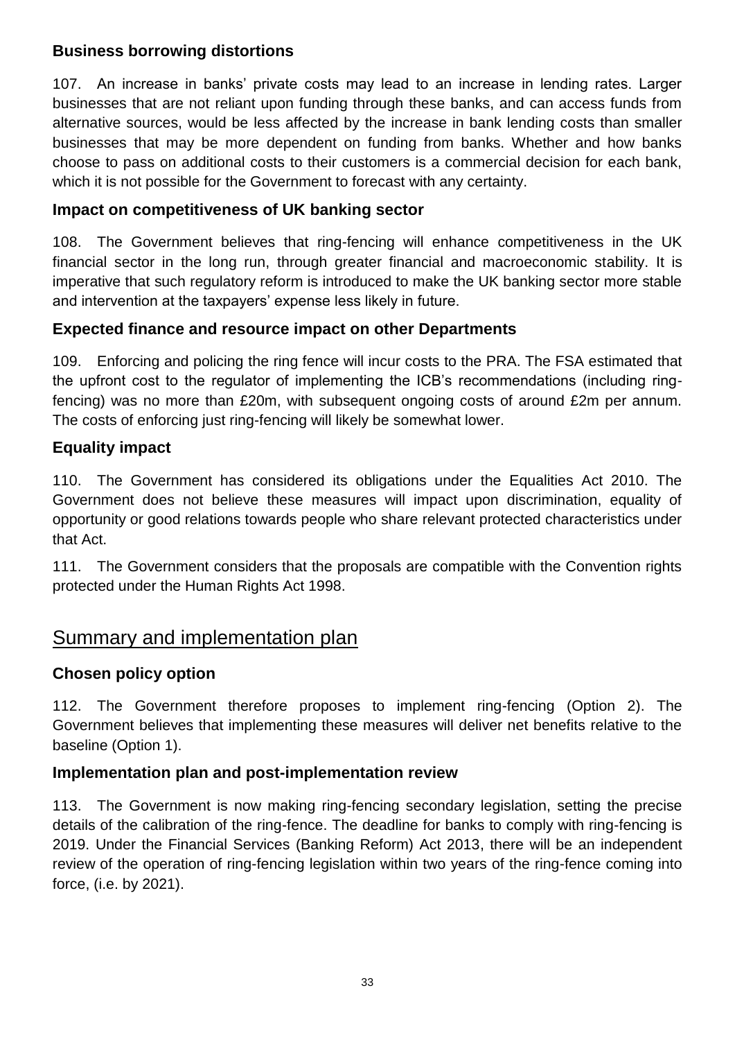### **Business borrowing distortions**

107. An increase in banks' private costs may lead to an increase in lending rates. Larger businesses that are not reliant upon funding through these banks, and can access funds from alternative sources, would be less affected by the increase in bank lending costs than smaller businesses that may be more dependent on funding from banks. Whether and how banks choose to pass on additional costs to their customers is a commercial decision for each bank, which it is not possible for the Government to forecast with any certainty.

# **Impact on competitiveness of UK banking sector**

108. The Government believes that ring-fencing will enhance competitiveness in the UK financial sector in the long run, through greater financial and macroeconomic stability. It is imperative that such regulatory reform is introduced to make the UK banking sector more stable and intervention at the taxpayers' expense less likely in future.

# **Expected finance and resource impact on other Departments**

109. Enforcing and policing the ring fence will incur costs to the PRA. The FSA estimated that the upfront cost to the regulator of implementing the ICB's recommendations (including ringfencing) was no more than £20m, with subsequent ongoing costs of around £2m per annum. The costs of enforcing just ring-fencing will likely be somewhat lower.

# **Equality impact**

110. The Government has considered its obligations under the Equalities Act 2010. The Government does not believe these measures will impact upon discrimination, equality of opportunity or good relations towards people who share relevant protected characteristics under that Act.

111. The Government considers that the proposals are compatible with the Convention rights protected under the Human Rights Act 1998.

# Summary and implementation plan

### **Chosen policy option**

112. The Government therefore proposes to implement ring-fencing (Option 2). The Government believes that implementing these measures will deliver net benefits relative to the baseline (Option 1).

### **Implementation plan and post-implementation review**

113. The Government is now making ring-fencing secondary legislation, setting the precise details of the calibration of the ring-fence. The deadline for banks to comply with ring-fencing is 2019. Under the Financial Services (Banking Reform) Act 2013, there will be an independent review of the operation of ring-fencing legislation within two years of the ring-fence coming into force, (i.e. by 2021).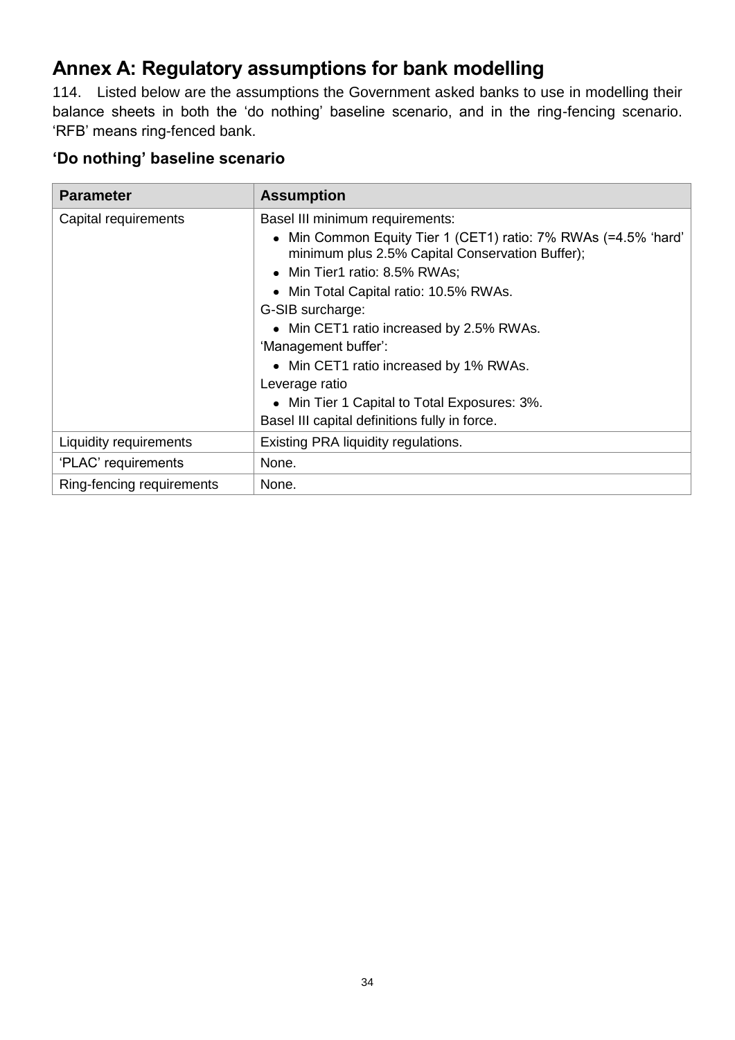# **Annex A: Regulatory assumptions for bank modelling**

114. Listed below are the assumptions the Government asked banks to use in modelling their balance sheets in both the 'do nothing' baseline scenario, and in the ring-fencing scenario. 'RFB' means ring-fenced bank.

# **'Do nothing' baseline scenario**

| <b>Parameter</b>          | <b>Assumption</b>                                                                                               |
|---------------------------|-----------------------------------------------------------------------------------------------------------------|
| Capital requirements      | Basel III minimum requirements:                                                                                 |
|                           | Min Common Equity Tier 1 (CET1) ratio: 7% RWAs (=4.5% 'hard'<br>minimum plus 2.5% Capital Conservation Buffer); |
|                           | • Min Tier1 ratio: 8.5% RWAs;                                                                                   |
|                           | • Min Total Capital ratio: 10.5% RWAs.                                                                          |
|                           | G-SIB surcharge:                                                                                                |
|                           | • Min CET1 ratio increased by 2.5% RWAs.                                                                        |
|                           | 'Management buffer':                                                                                            |
|                           | • Min CET1 ratio increased by 1% RWAs.                                                                          |
|                           | Leverage ratio                                                                                                  |
|                           | • Min Tier 1 Capital to Total Exposures: 3%.                                                                    |
|                           | Basel III capital definitions fully in force.                                                                   |
| Liquidity requirements    | Existing PRA liquidity regulations.                                                                             |
| 'PLAC' requirements       | None.                                                                                                           |
| Ring-fencing requirements | None.                                                                                                           |